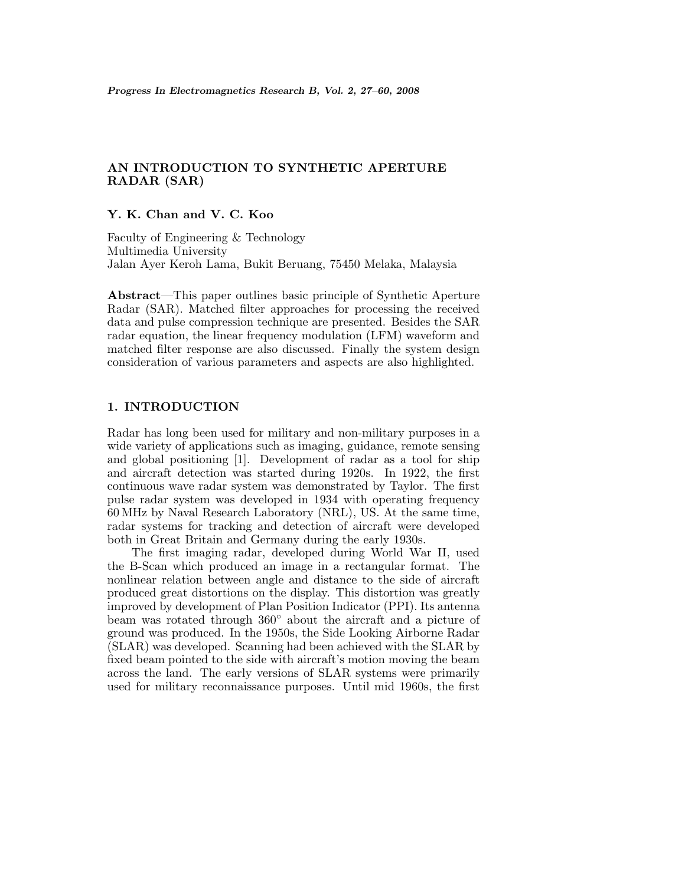# **AN INTRODUCTION TO SYNTHETIC APERTURE RADAR (SAR)**

# **Y. K. Chan and V. C. Koo**

Faculty of Engineering & Technology Multimedia University Jalan Ayer Keroh Lama, Bukit Beruang, 75450 Melaka, Malaysia

**Abstract**—This paper outlines basic principle of Synthetic Aperture Radar (SAR). Matched filter approaches for processing the received data and pulse compression technique are presented. Besides the SAR radar equation, the linear frequency modulation (LFM) waveform and matched filter response are also discussed. Finally the system design consideration of various parameters and aspects are also highlighted.

# **1. INTRODUCTION**

Radar has long been used for military and non-military purposes in a wide variety of applications such as imaging, guidance, remote sensing and global positioning [1]. Development of radar as a tool for ship and aircraft detection was started during 1920s. In 1922, the first continuous wave radar system was demonstrated by Taylor. The first pulse radar system was developed in 1934 with operating frequency 60 MHz by Naval Research Laboratory (NRL), US. At the same time, radar systems for tracking and detection of aircraft were developed both in Great Britain and Germany during the early 1930s.

The first imaging radar, developed during World War II, used the B-Scan which produced an image in a rectangular format. The nonlinear relation between angle and distance to the side of aircraft produced great distortions on the display. This distortion was greatly improved by development of Plan Position Indicator (PPI). Its antenna beam was rotated through 360◦ about the aircraft and a picture of ground was produced. In the 1950s, the Side Looking Airborne Radar (SLAR) was developed. Scanning had been achieved with the SLAR by fixed beam pointed to the side with aircraft's motion moving the beam across the land. The early versions of SLAR systems were primarily used for military reconnaissance purposes. Until mid 1960s, the first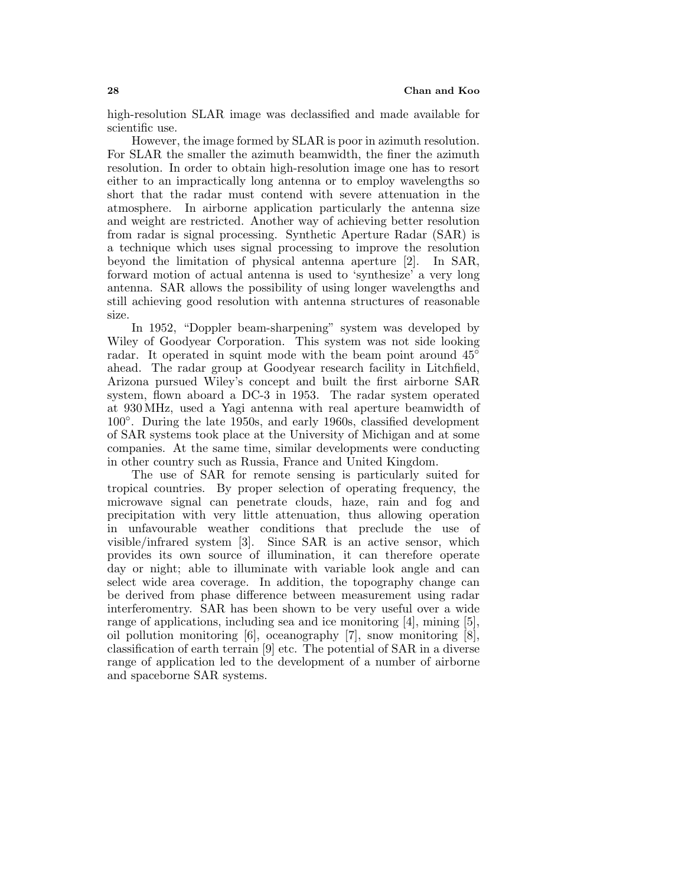high-resolution SLAR image was declassified and made available for scientific use.

However, the image formed by SLAR is poor in azimuth resolution. For SLAR the smaller the azimuth beamwidth, the finer the azimuth resolution. In order to obtain high-resolution image one has to resort either to an impractically long antenna or to employ wavelengths so short that the radar must contend with severe attenuation in the atmosphere. In airborne application particularly the antenna size and weight are restricted. Another way of achieving better resolution from radar is signal processing. Synthetic Aperture Radar (SAR) is a technique which uses signal processing to improve the resolution beyond the limitation of physical antenna aperture [2]. In SAR, forward motion of actual antenna is used to 'synthesize' a very long antenna. SAR allows the possibility of using longer wavelengths and still achieving good resolution with antenna structures of reasonable size.

In 1952, "Doppler beam-sharpening" system was developed by Wiley of Goodyear Corporation. This system was not side looking radar. It operated in squint mode with the beam point around 45<sup>°</sup> ahead. The radar group at Goodyear research facility in Litchfield, Arizona pursued Wiley's concept and built the first airborne SAR system, flown aboard a DC-3 in 1953. The radar system operated at 930 MHz, used a Yagi antenna with real aperture beamwidth of 100◦. During the late 1950s, and early 1960s, classified development of SAR systems took place at the University of Michigan and at some companies. At the same time, similar developments were conducting in other country such as Russia, France and United Kingdom.

The use of SAR for remote sensing is particularly suited for tropical countries. By proper selection of operating frequency, the microwave signal can penetrate clouds, haze, rain and fog and precipitation with very little attenuation, thus allowing operation in unfavourable weather conditions that preclude the use of visible/infrared system [3]. Since SAR is an active sensor, which provides its own source of illumination, it can therefore operate day or night; able to illuminate with variable lookangle and can select wide area coverage. In addition, the topography change can be derived from phase difference between measurement using radar interferomentry. SAR has been shown to be very useful over a wide range of applications, including sea and ice monitoring [4], mining [5], oil pollution monitoring [6], oceanography [7], snow monitoring [8], classification of earth terrain [9] etc. The potential of SAR in a diverse range of application led to the development of a number of airborne and spaceborne SAR systems.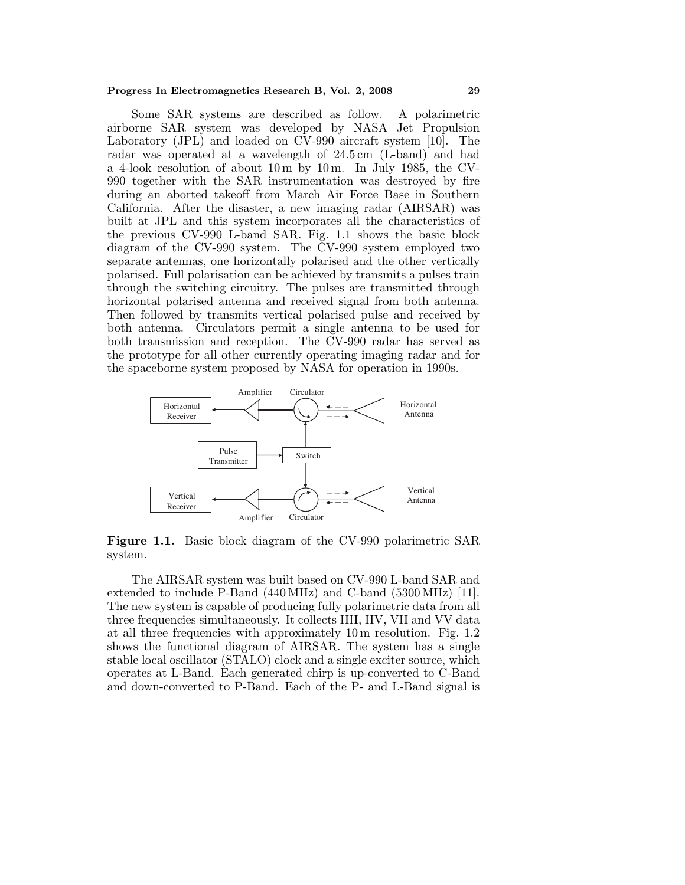#### **Progress In Electromagnetics Research B, Vol. 2, 2008 29**

Some SAR systems are described as follow. A polarimetric airborne SAR system was developed by NASA Jet Propulsion Laboratory (JPL) and loaded on CV-990 aircraft system [10]. The radar was operated at a wavelength of 24.5 cm (L-band) and had a 4-look resolution of about  $10 \text{ m}$  by  $10 \text{ m}$ . In July 1985, the CV-990 together with the SAR instrumentation was destroyed by fire during an aborted takeoff from March Air Force Base in Southern California. After the disaster, a new imaging radar (AIRSAR) was built at JPL and this system incorporates all the characteristics of the previous CV-990 L-band SAR. Fig. 1.1 shows the basic block diagram of the CV-990 system. The CV-990 system employed two separate antennas, one horizontally polarised and the other vertically polarised. Full polarisation can be achieved by transmits a pulses train through the switching circuitry. The pulses are transmitted through horizontal polarised antenna and received signal from both antenna. Then followed by transmits vertical polarised pulse and received by both antenna. Circulators permit a single antenna to be used for both transmission and reception. The CV-990 radar has served as the prototype for all other currently operating imaging radar and for the spaceborne system proposed by NASA for operation in 1990s.



Figure 1.1. Basic block diagram of the CV-990 polarimetric SAR system.

The AIRSAR system was built based on CV-990 L-band SAR and extended to include P-Band (440 MHz) and C-band (5300 MHz) [11]. The new system is capable of producing fully polarimetric data from all three frequencies simultaneously. It collects HH, HV, VH and VV data at all three frequencies with approximately 10 m resolution. Fig. 1.2 shows the functional diagram of AIRSAR. The system has a single stable local oscillator (STALO) clockand a single exciter source, which operates at L-Band. Each generated chirp is up-converted to C-Band and down-converted to P-Band. Each of the P- and L-Band signal is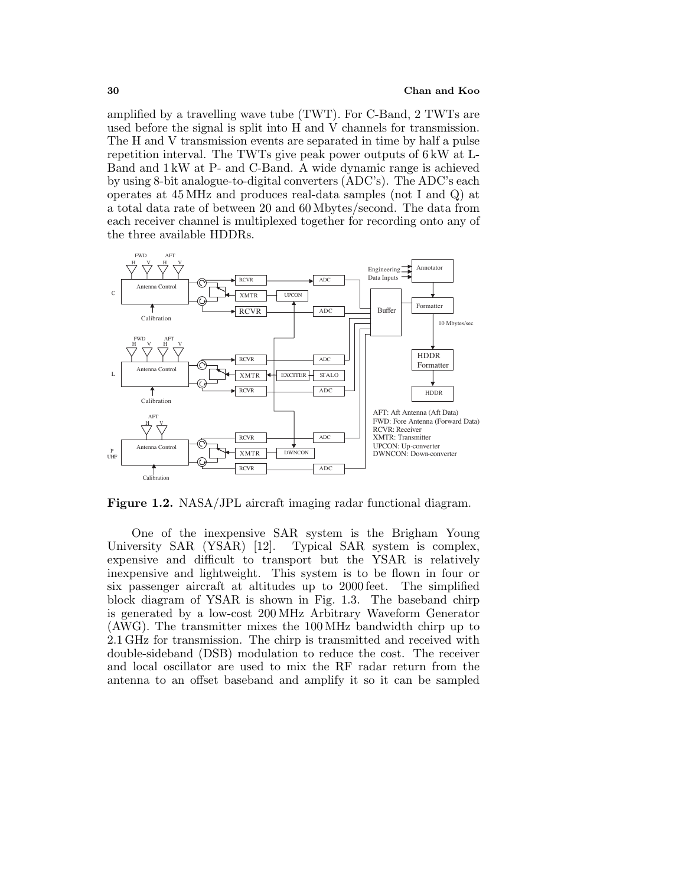amplified by a travelling wave tube (TWT). For C-Band, 2 TWTs are used before the signal is split into H and V channels for transmission. The H and V transmission events are separated in time by half a pulse repetition interval. The TWTs give peak power outputs of  $6 \text{ kW}$  at L-Band and 1 kW at P- and C-Band. A wide dynamic range is achieved by using 8-bit analogue-to-digital converters (ADC's). The ADC's each operates at 45 MHz and produces real-data samples (not I and Q) at a total data rate of between 20 and 60 Mbytes/second. The data from each receiver channel is multiplexed together for recording onto any of the three available HDDRs.



**Figure 1.2.** NASA/JPL aircraft imaging radar functional diagram.

One of the inexpensive SAR system is the Brigham Young University SAR (YSAR) [12]. Typical SAR system is complex, expensive and difficult to transport but the YSAR is relatively inexpensive and lightweight. This system is to be flown in four or six passenger aircraft at altitudes up to 2000 feet. The simplified block diagram of YSAR is shown in Fig. 1.3. The baseband chirp is generated by a low-cost 200 MHz Arbitrary Waveform Generator (AWG). The transmitter mixes the 100 MHz bandwidth chirp up to 2.1 GHz for transmission. The chirp is transmitted and received with double-sideband (DSB) modulation to reduce the cost. The receiver and local oscillator are used to mix the RF radar return from the antenna to an offset baseband and amplify it so it can be sampled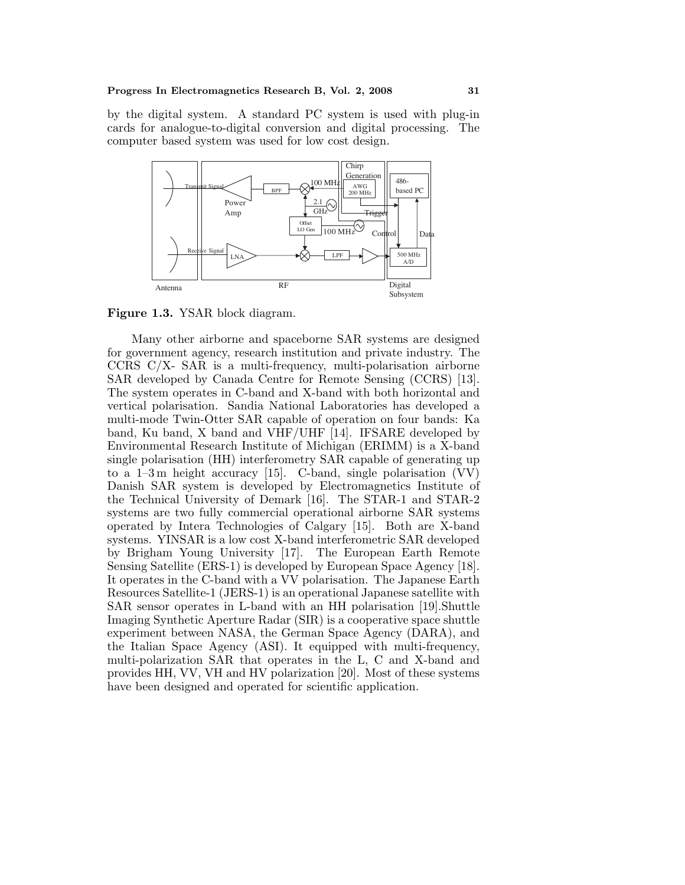by the digital system. A standard PC system is used with plug-in cards for analogue-to-digital conversion and digital processing. The computer based system was used for low cost design.



Figure 1.3. YSAR block diagram.

Many other airborne and spaceborne SAR systems are designed for government agency, research institution and private industry. The CCRS C/X- SAR is a multi-frequency, multi-polarisation airborne SAR developed by Canada Centre for Remote Sensing (CCRS) [13]. The system operates in C-band and X-band with both horizontal and vertical polarisation. Sandia National Laboratories has developed a multi-mode Twin-Otter SAR capable of operation on four bands: Ka band, Ku band, X band and VHF/UHF [14]. IFSARE developed by Environmental Research Institute of Michigan (ERIMM) is a X-band single polarisation (HH) interferometry SAR capable of generating up to a 1–3 m height accuracy [15]. C-band, single polarisation (VV) Danish SAR system is developed by Electromagnetics Institute of the Technical University of Demark[16]. The STAR-1 and STAR-2 systems are two fully commercial operational airborne SAR systems operated by Intera Technologies of Calgary [15]. Both are X-band systems. YINSAR is a low cost X-band interferometric SAR developed by Brigham Young University [17]. The European Earth Remote Sensing Satellite (ERS-1) is developed by European Space Agency [18]. It operates in the C-band with a VV polarisation. The Japanese Earth Resources Satellite-1 (JERS-1) is an operational Japanese satellite with SAR sensor operates in L-band with an HH polarisation [19].Shuttle Imaging Synthetic Aperture Radar (SIR) is a cooperative space shuttle experiment between NASA, the German Space Agency (DARA), and the Italian Space Agency (ASI). It equipped with multi-frequency, multi-polarization SAR that operates in the L, C and X-band and provides HH, VV, VH and HV polarization [20]. Most of these systems have been designed and operated for scientific application.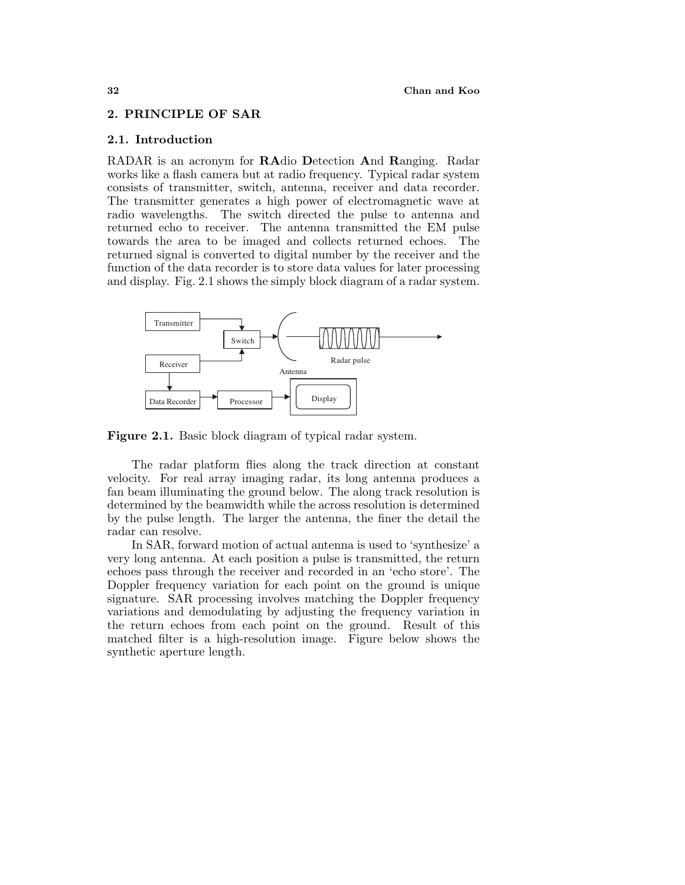## 2. PRINCIPLE OF SAR

## **2.1. Introduction**

RADAR is an acronym for **RA**dio **D**etection **A**nd **R**anging. Radar works like a flash camera but at radio frequency. Typical radar system consists of transmitter, switch, antenna, receiver and data recorder. The transmitter generates a high power of electromagnetic wave at radio wavelengths. The switch directed the pulse to antenna and returned echo to receiver. The antenna transmitted the EM pulse towards the area to be imaged and collects returned echoes. The returned signal is converted to digital number by the receiver and the function of the data recorder is to store data values for later processing and display. Fig. 2.1 shows the simply block diagram of a radar system.



Figure 2.1. Basic block diagram of typical radar system.

The radar platform flies along the track direction at constant velocity. For real array imaging radar, its long antenna produces a fan beam illuminating the ground below. The along track resolution is determined by the beamwidth while the across resolution is determined by the pulse length. The larger the antenna, the finer the detail the radar can resolve.

In SAR, forward motion of actual antenna is used to 'synthesize' a very long antenna. At each position a pulse is transmitted, the return echoes pass through the receiver and recorded in an 'echo store'. The Doppler frequency variation for each point on the ground is unique signature. SAR processing involves matching the Doppler frequency variations and demodulating by adjusting the frequency variation in the return echoes from each point on the ground. Result of this matched filter is a high-resolution image. Figure below shows the synthetic aperture length.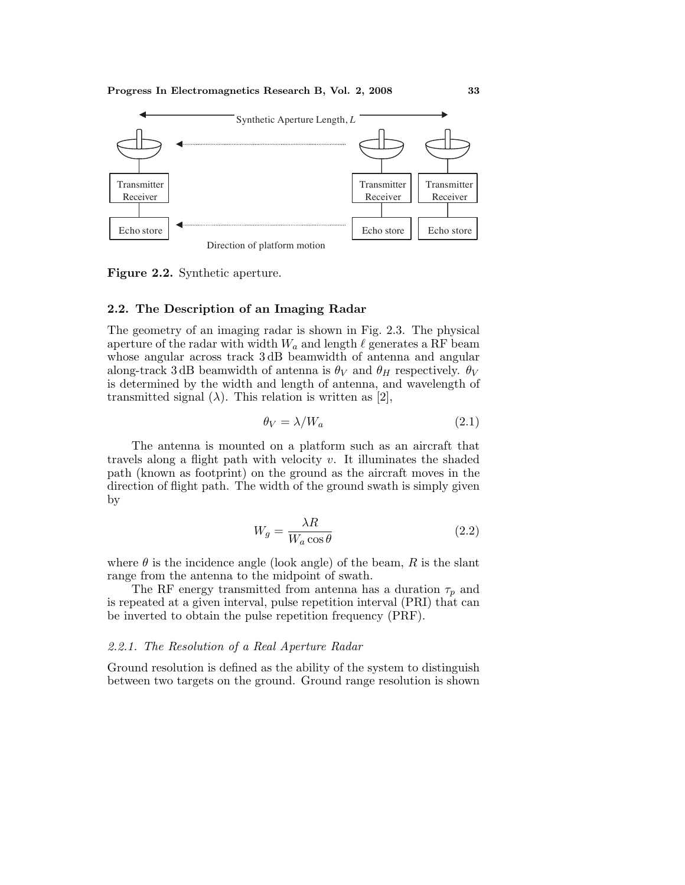

**Figure 2.2.** Synthetic aperture.

#### **2.2. The Description of an Imaging Radar**

The geometry of an imaging radar is shown in Fig. 2.3. The physical aperture of the radar with width  $W_a$  and length  $\ell$  generates a RF beam whose angular across track 3 dB beamwidth of antenna and angular along-track 3 dB beamwidth of antenna is  $\theta_V$  and  $\theta_H$  respectively.  $\theta_V$ is determined by the width and length of antenna, and wavelength of transmitted signal  $(\lambda)$ . This relation is written as [2],

$$
\theta_V = \lambda / W_a \tag{2.1}
$$

The antenna is mounted on a platform such as an aircraft that travels along a flight path with velocity  $v$ . It illuminates the shaded path (known as footprint) on the ground as the aircraft moves in the direction of flight path. The width of the ground swath is simply given by

$$
W_g = \frac{\lambda R}{W_a \cos \theta} \tag{2.2}
$$

where  $\theta$  is the incidence angle (look angle) of the beam, R is the slant range from the antenna to the midpoint of swath.

The RF energy transmitted from antenna has a duration  $\tau_p$  and is repeated at a given interval, pulse repetition interval (PRI) that can be inverted to obtain the pulse repetition frequency (PRF).

# 2.2.1. The Resolution of a Real Aperture Radar

Ground resolution is defined as the ability of the system to distinguish between two targets on the ground. Ground range resolution is shown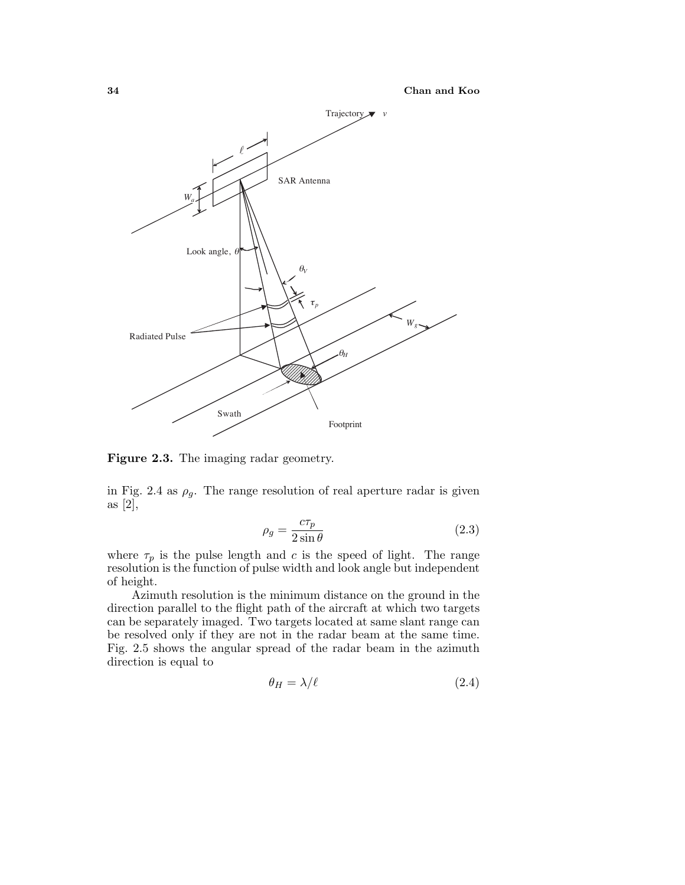

**Figure 2.3.** The imaging radar geometry.

in Fig. 2.4 as  $\rho_g$ . The range resolution of real aperture radar is given as [2],

$$
\rho_g = \frac{c\tau_p}{2\sin\theta} \tag{2.3}
$$

where  $\tau_p$  is the pulse length and c is the speed of light. The range resolution is the function of pulse width and lookangle but independent of height.

Azimuth resolution is the minimum distance on the ground in the direction parallel to the flight path of the aircraft at which two targets can be separately imaged. Two targets located at same slant range can be resolved only if they are not in the radar beam at the same time. Fig. 2.5 shows the angular spread of the radar beam in the azimuth direction is equal to

$$
\theta_H = \lambda / \ell \tag{2.4}
$$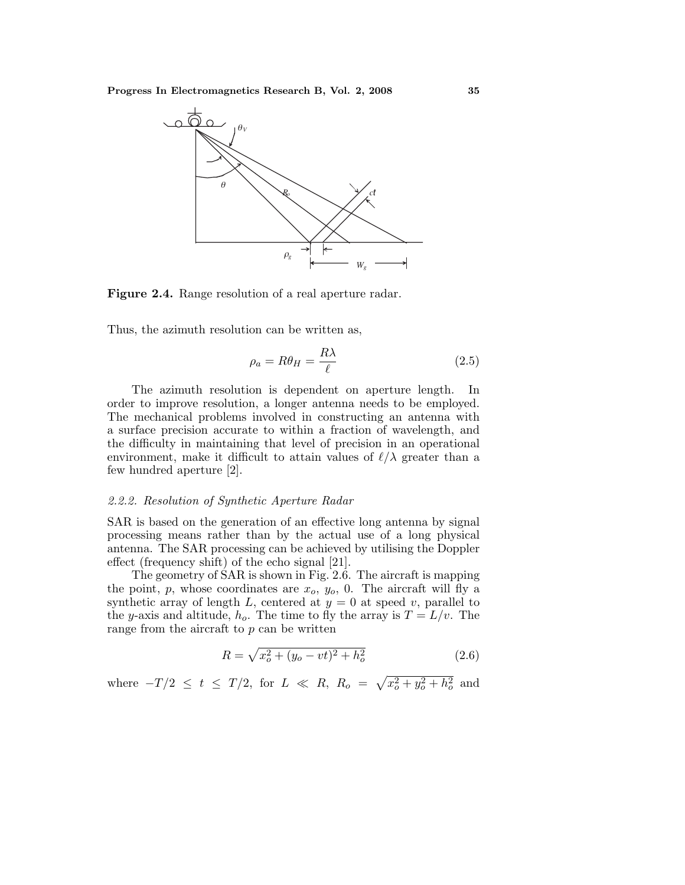

**Figure 2.4.** Range resolution of a real aperture radar.

Thus, the azimuth resolution can be written as,

$$
\rho_a = R\theta_H = \frac{R\lambda}{\ell} \tag{2.5}
$$

The azimuth resolution is dependent on aperture length. In order to improve resolution, a longer antenna needs to be employed. The mechanical problems involved in constructing an antenna with a surface precision accurate to within a fraction of wavelength, and the difficulty in maintaining that level of precision in an operational environment, make it difficult to attain values of  $\ell/\lambda$  greater than a few hundred aperture [2].

# 2.2.2. Resolution of Synthetic Aperture Radar

SAR is based on the generation of an effective long antenna by signal processing means rather than by the actual use of a long physical antenna. The SAR processing can be achieved by utilising the Doppler effect (frequency shift) of the echo signal [21].

The geometry of SAR is shown in Fig. 2.6. The aircraft is mapping the point, p, whose coordinates are  $x_0$ ,  $y_0$ , 0. The aircraft will fly a synthetic array of length  $L$ , centered at  $y = 0$  at speed v, parallel to the y-axis and altitude,  $h_o$ . The time to fly the array is  $T = L/v$ . The range from the aircraft to  $p$  can be written

$$
R = \sqrt{x_o^2 + (y_o - vt)^2 + h_o^2}
$$
 (2.6)

where  $-T/2 \le t \le T/2$ , for  $L \ll R$ ,  $R_o = \sqrt{x_o^2 + y_o^2 + h_o^2}$  and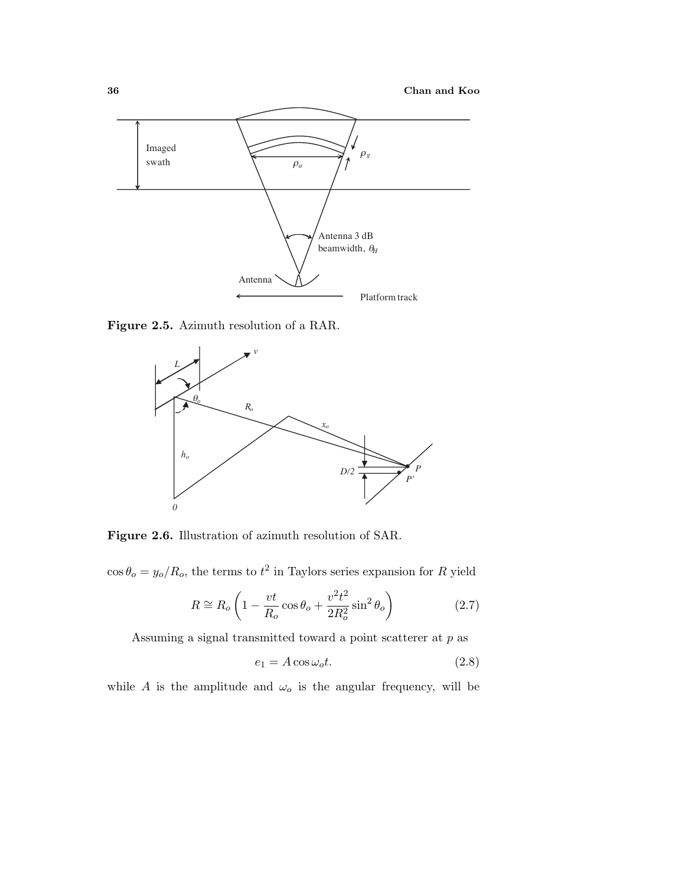

**Figure 2.5.** Azimuth resolution of a RAR.



**Figure 2.6.** Illustration of azimuth resolution of SAR.

 $\cos \theta_o = y_o/R_o$ , the terms to  $t^2$  in Taylors series expansion for R yield

$$
R \cong R_o \left( 1 - \frac{vt}{R_o} \cos \theta_o + \frac{v^2 t^2}{2R_o^2} \sin^2 \theta_o \right) \tag{2.7}
$$

Assuming a signal transmitted toward a point scatterer at p as

$$
e_1 = A \cos \omega_o t. \tag{2.8}
$$

while A is the amplitude and  $\omega_o$  is the angular frequency, will be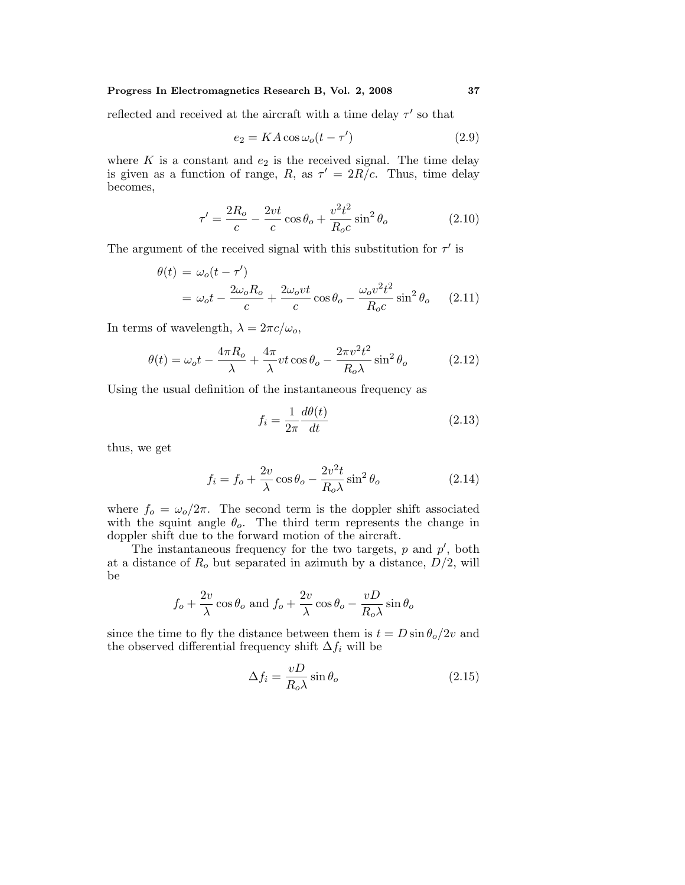## **Progress In Electromagnetics Research B, Vol. 2, 2008 37**

reflected and received at the aircraft with a time delay  $\tau'$  so that

$$
e_2 = KA \cos \omega_o (t - \tau') \tag{2.9}
$$

where  $K$  is a constant and  $e_2$  is the received signal. The time delay is given as a function of range, R, as  $\tau' = 2R/c$ . Thus, time delay becomes,

$$
\tau' = \frac{2R_o}{c} - \frac{2vt}{c}\cos\theta_o + \frac{v^2t^2}{R_oc}\sin^2\theta_o \tag{2.10}
$$

The argument of the received signal with this substitution for  $\tau'$  is

$$
\theta(t) = \omega_o(t - \tau')
$$
  
=  $\omega_o t - \frac{2\omega_o R_o}{c} + \frac{2\omega_o vt}{c} \cos \theta_o - \frac{\omega_o v^2 t^2}{R_o c} \sin^2 \theta_o$  (2.11)

In terms of wavelength,  $\lambda = 2\pi c/\omega_o$ ,

$$
\theta(t) = \omega_o t - \frac{4\pi R_o}{\lambda} + \frac{4\pi}{\lambda} vt \cos \theta_o - \frac{2\pi v^2 t^2}{R_o \lambda} \sin^2 \theta_o \tag{2.12}
$$

Using the usual definition of the instantaneous frequency as

$$
f_i = \frac{1}{2\pi} \frac{d\theta(t)}{dt}
$$
\n(2.13)

thus, we get

$$
f_i = f_o + \frac{2v}{\lambda} \cos \theta_o - \frac{2v^2 t}{R_o \lambda} \sin^2 \theta_o \tag{2.14}
$$

where  $f_o = \omega_o/2\pi$ . The second term is the doppler shift associated with the squint angle  $\theta_o$ . The third term represents the change in doppler shift due to the forward motion of the aircraft.

The instantaneous frequency for the two targets,  $p$  and  $p'$ , both at a distance of  $R_o$  but separated in azimuth by a distance,  $D/2$ , will be

$$
f_o + \frac{2v}{\lambda} \cos \theta_o
$$
 and  $f_o + \frac{2v}{\lambda} \cos \theta_o - \frac{vD}{R_o \lambda} \sin \theta_o$ 

since the time to fly the distance between them is  $t = D \sin \theta_0 / 2v$  and the observed differential frequency shift  $\Delta f_i$  will be

$$
\Delta f_i = \frac{vD}{R_o \lambda} \sin \theta_o \tag{2.15}
$$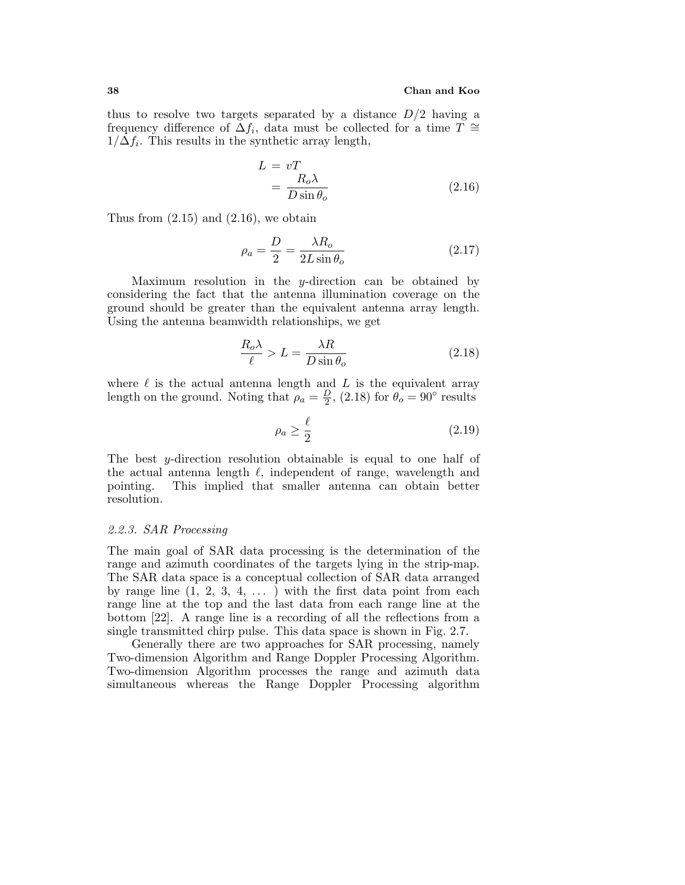thus to resolve two targets separated by a distance  $D/2$  having a frequency difference of  $\Delta f_i$ , data must be collected for a time  $T \cong$  $1/\Delta f_i$ . This results in the synthetic array length,

$$
L = vT
$$
  
=  $\frac{R_o \lambda}{D \sin \theta_o}$  (2.16)

Thus from  $(2.15)$  and  $(2.16)$ , we obtain

$$
\rho_a = \frac{D}{2} = \frac{\lambda R_o}{2L \sin \theta_o} \tag{2.17}
$$

Maximum resolution in the y-direction can be obtained by considering the fact that the antenna illumination coverage on the ground should be greater than the equivalent antenna array length. Using the antenna beamwidth relationships, we get

$$
\frac{R_o \lambda}{\ell} > L = \frac{\lambda R}{D \sin \theta_o} \tag{2.18}
$$

where  $\ell$  is the actual antenna length and  $L$  is the equivalent array length on the ground. Noting that  $\rho_a = \frac{D}{2}$ , (2.18) for  $\theta_o = 90^\circ$  results

$$
\rho_a \ge \frac{\ell}{2} \tag{2.19}
$$

The best y-direction resolution obtainable is equal to one half of the actual antenna length  $\ell$ , independent of range, wavelength and pointing. This implied that smaller antenna can obtain better resolution.

#### 2.2.3. SAR Processing

The main goal of SAR data processing is the determination of the range and azimuth coordinates of the targets lying in the strip-map. The SAR data space is a conceptual collection of SAR data arranged by range line  $(1, 2, 3, 4, ...)$  with the first data point from each range line at the top and the last data from each range line at the bottom [22]. A range line is a recording of all the reflections from a single transmitted chirp pulse. This data space is shown in Fig. 2.7.

Generally there are two approaches for SAR processing, namely Two-dimension Algorithm and Range Doppler Processing Algorithm. Two-dimension Algorithm processes the range and azimuth data simultaneous whereas the Range Doppler Processing algorithm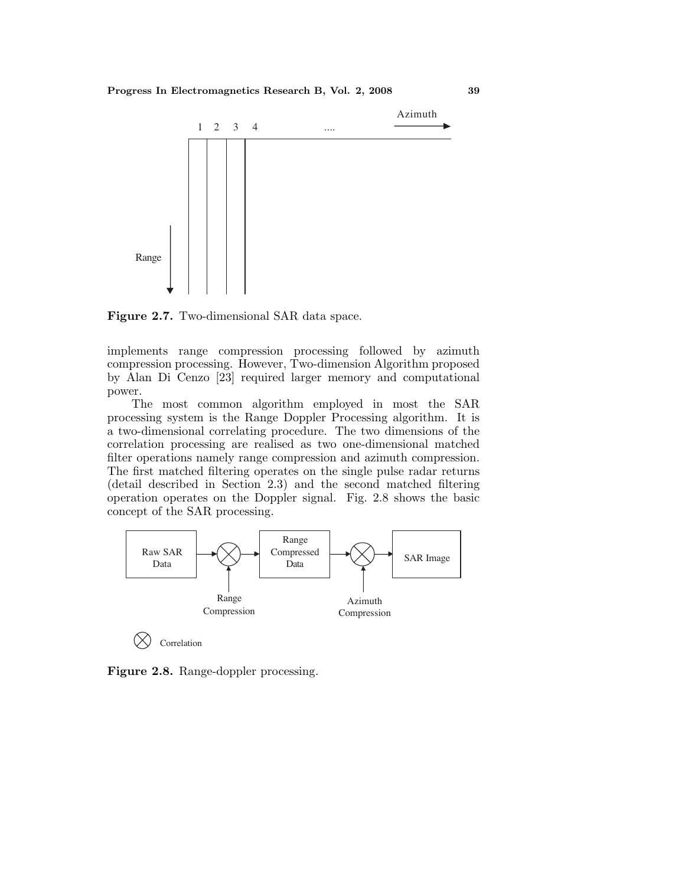

**Figure 2.7.** Two-dimensional SAR data space.

implements range compression processing followed by azimuth compression processing. However, Two-dimension Algorithm proposed by Alan Di Cenzo [23] required larger memory and computational power.

The most common algorithm employed in most the SAR processing system is the Range Doppler Processing algorithm. It is a two-dimensional correlating procedure. The two dimensions of the correlation processing are realised as two one-dimensional matched filter operations namely range compression and azimuth compression. The first matched filtering operates on the single pulse radar returns (detail described in Section 2.3) and the second matched filtering operation operates on the Doppler signal. Fig. 2.8 shows the basic concept of the SAR processing.



**Figure 2.8.** Range-doppler processing.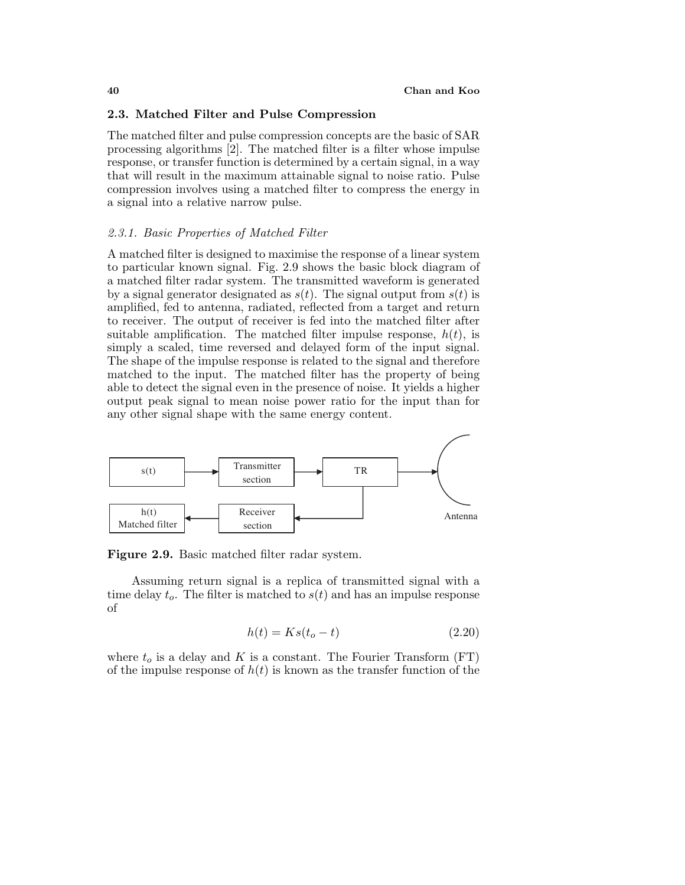## **2.3. Matched Filter and Pulse Compression**

The matched filter and pulse compression concepts are the basic of SAR processing algorithms [2]. The matched filter is a filter whose impulse response, or transfer function is determined by a certain signal, in a way that will result in the maximum attainable signal to noise ratio. Pulse compression involves using a matched filter to compress the energy in a signal into a relative narrow pulse.

## 2.3.1. Basic Properties of Matched Filter

A matched filter is designed to maximise the response of a linear system to particular known signal. Fig. 2.9 shows the basic block diagram of a matched filter radar system. The transmitted waveform is generated by a signal generator designated as  $s(t)$ . The signal output from  $s(t)$  is amplified, fed to antenna, radiated, reflected from a target and return to receiver. The output of receiver is fed into the matched filter after suitable amplification. The matched filter impulse response,  $h(t)$ , is simply a scaled, time reversed and delayed form of the input signal. The shape of the impulse response is related to the signal and therefore matched to the input. The matched filter has the property of being able to detect the signal even in the presence of noise. It yields a higher output peaksignal to mean noise power ratio for the input than for any other signal shape with the same energy content.



**Figure 2.9.** Basic matched filter radar system.

Assuming return signal is a replica of transmitted signal with a time delay  $t_o$ . The filter is matched to  $s(t)$  and has an impulse response of

$$
h(t) = Ks(t_o - t) \tag{2.20}
$$

where  $t_o$  is a delay and K is a constant. The Fourier Transform (FT) of the impulse response of  $h(t)$  is known as the transfer function of the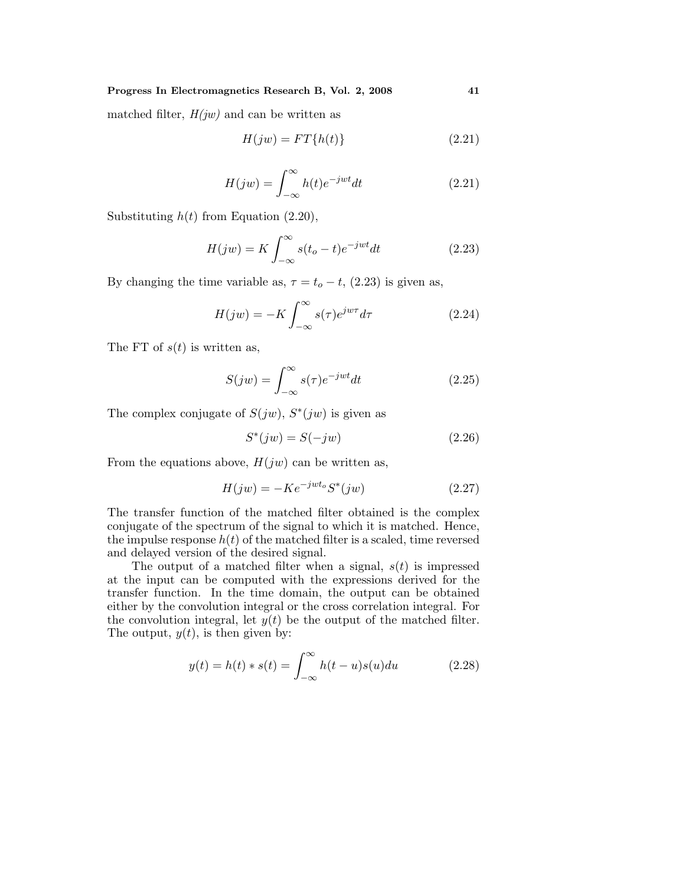**Progress In Electromagnetics Research B, Vol. 2, 2008 41**

matched filter,  $H(jw)$  and can be written as

$$
H(jw) = FT\{h(t)\}\tag{2.21}
$$

$$
H(jw) = \int_{-\infty}^{\infty} h(t)e^{-jwt}dt
$$
 (2.21)

Substituting  $h(t)$  from Equation (2.20),

$$
H(jw) = K \int_{-\infty}^{\infty} s(t_o - t) e^{-jwt} dt
$$
\n(2.23)

By changing the time variable as,  $\tau = t_o - t$ , (2.23) is given as,

$$
H(jw) = -K \int_{-\infty}^{\infty} s(\tau) e^{j w \tau} d\tau \tag{2.24}
$$

The FT of  $s(t)$  is written as,

$$
S(jw) = \int_{-\infty}^{\infty} s(\tau)e^{-jwt}dt
$$
 (2.25)

The complex conjugate of  $S(jw)$ ,  $S^*(jw)$  is given as

$$
S^*(jw) = S(-jw) \tag{2.26}
$$

From the equations above,  $H(jw)$  can be written as,

$$
H(jw) = -Ke^{-jwt_o}S^*(jw)
$$
\n
$$
(2.27)
$$

The transfer function of the matched filter obtained is the complex conjugate of the spectrum of the signal to which it is matched. Hence, the impulse response  $h(t)$  of the matched filter is a scaled, time reversed and delayed version of the desired signal.

The output of a matched filter when a signal,  $s(t)$  is impressed at the input can be computed with the expressions derived for the transfer function. In the time domain, the output can be obtained either by the convolution integral or the cross correlation integral. For the convolution integral, let  $y(t)$  be the output of the matched filter. The output,  $y(t)$ , is then given by:

$$
y(t) = h(t) * s(t) = \int_{-\infty}^{\infty} h(t - u)s(u)du
$$
 (2.28)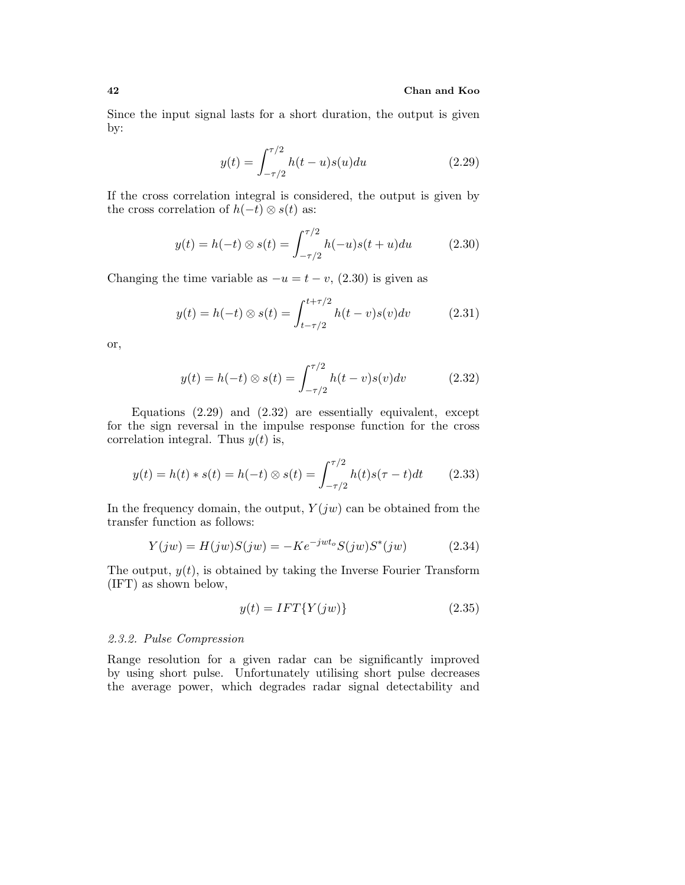#### **42 Chan and Koo**

Since the input signal lasts for a short duration, the output is given by:

$$
y(t) = \int_{-\tau/2}^{\tau/2} h(t-u)s(u)du
$$
 (2.29)

If the cross correlation integral is considered, the output is given by the cross correlation of  $h(-t) \otimes s(t)$  as:

$$
y(t) = h(-t) \otimes s(t) = \int_{-\tau/2}^{\tau/2} h(-u)s(t+u)du
$$
 (2.30)

Changing the time variable as  $-u = t - v$ , (2.30) is given as

$$
y(t) = h(-t) \otimes s(t) = \int_{t-\tau/2}^{t+\tau/2} h(t-v)s(v)dv
$$
 (2.31)

or,

$$
y(t) = h(-t) \otimes s(t) = \int_{-\tau/2}^{\tau/2} h(t-v)s(v)dv
$$
 (2.32)

Equations (2.29) and (2.32) are essentially equivalent, except for the sign reversal in the impulse response function for the cross correlation integral. Thus  $y(t)$  is,

$$
y(t) = h(t) * s(t) = h(-t) \otimes s(t) = \int_{-\tau/2}^{\tau/2} h(t)s(\tau - t)dt \qquad (2.33)
$$

In the frequency domain, the output,  $Y(jw)$  can be obtained from the transfer function as follows:

$$
Y(jw) = H(jw)S(jw) = -Ke^{-jwt_o}S(jw)S^*(jw)
$$
 (2.34)

The output,  $y(t)$ , is obtained by taking the Inverse Fourier Transform (IFT) as shown below,

$$
y(t) = IFT\{Y(jw)\}\tag{2.35}
$$

## 2.3.2. Pulse Compression

Range resolution for a given radar can be significantly improved by using short pulse. Unfortunately utilising short pulse decreases the average power, which degrades radar signal detectability and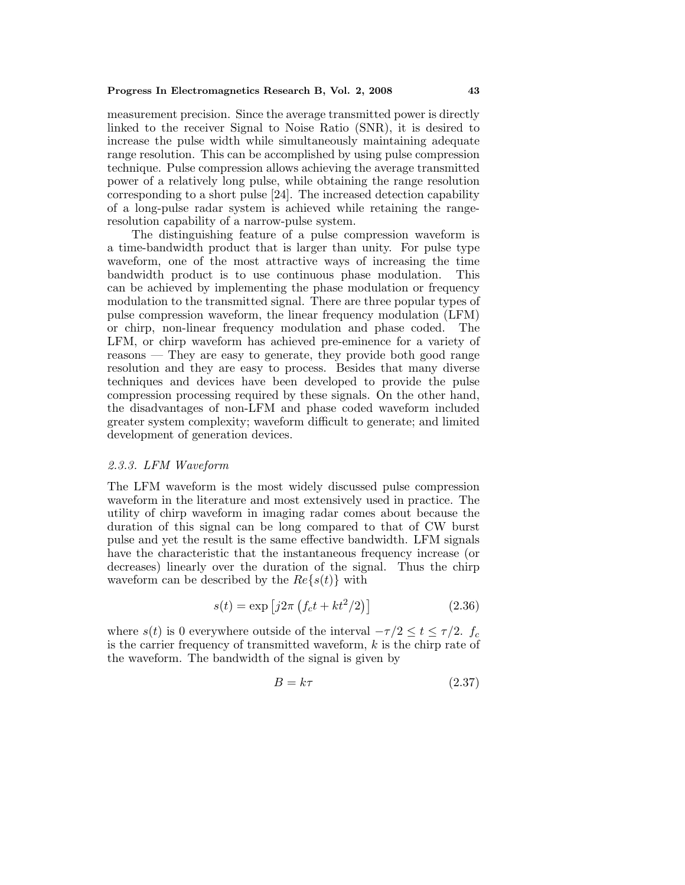measurement precision. Since the average transmitted power is directly linked to the receiver Signal to Noise Ratio (SNR), it is desired to increase the pulse width while simultaneously maintaining adequate range resolution. This can be accomplished by using pulse compression technique. Pulse compression allows achieving the average transmitted power of a relatively long pulse, while obtaining the range resolution corresponding to a short pulse [24]. The increased detection capability of a long-pulse radar system is achieved while retaining the rangeresolution capability of a narrow-pulse system.

The distinguishing feature of a pulse compression waveform is a time-bandwidth product that is larger than unity. For pulse type waveform, one of the most attractive ways of increasing the time bandwidth product is to use continuous phase modulation. This can be achieved by implementing the phase modulation or frequency modulation to the transmitted signal. There are three popular types of pulse compression waveform, the linear frequency modulation (LFM) or chirp, non-linear frequency modulation and phase coded. The LFM, or chirp waveform has achieved pre-eminence for a variety of reasons — They are easy to generate, they provide both good range resolution and they are easy to process. Besides that many diverse techniques and devices have been developed to provide the pulse compression processing required by these signals. On the other hand, the disadvantages of non-LFM and phase coded waveform included greater system complexity; waveform difficult to generate; and limited development of generation devices.

#### 2.3.3. LFM Waveform

The LFM waveform is the most widely discussed pulse compression waveform in the literature and most extensively used in practice. The utility of chirp waveform in imaging radar comes about because the duration of this signal can be long compared to that of CW burst pulse and yet the result is the same effective bandwidth. LFM signals have the characteristic that the instantaneous frequency increase (or decreases) linearly over the duration of the signal. Thus the chirp waveform can be described by the  $Re\{s(t)\}\$  with

$$
s(t) = \exp\left[j2\pi \left(f_c t + kt^2/2\right)\right]
$$
\n(2.36)

where  $s(t)$  is 0 everywhere outside of the interval  $-\tau/2 \le t \le \tau/2$ .  $f_c$ is the carrier frequency of transmitted waveform,  $k$  is the chirp rate of the waveform. The bandwidth of the signal is given by

$$
B = k\tau \tag{2.37}
$$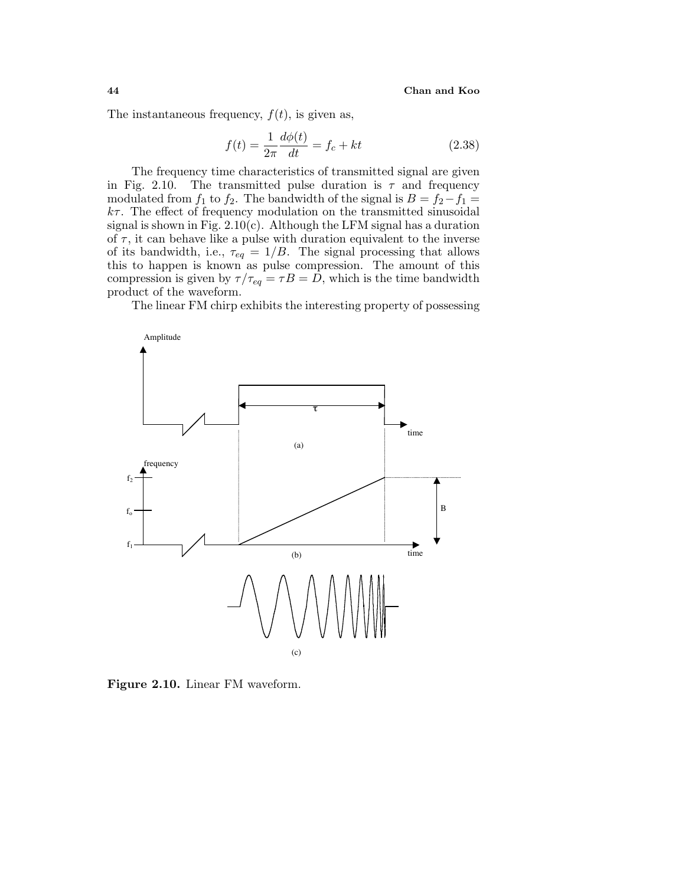The instantaneous frequency,  $f(t)$ , is given as,

$$
f(t) = \frac{1}{2\pi} \frac{d\phi(t)}{dt} = f_c + kt
$$
 (2.38)

The frequency time characteristics of transmitted signal are given in Fig. 2.10. The transmitted pulse duration is  $\tau$  and frequency modulated from  $f_1$  to  $f_2$ . The bandwidth of the signal is  $B = f_2 - f_1 =$  $k\tau$ . The effect of frequency modulation on the transmitted sinusoidal signal is shown in Fig.  $2.10(c)$ . Although the LFM signal has a duration of  $\tau$ , it can behave like a pulse with duration equivalent to the inverse of its bandwidth, i.e.,  $\tau_{eq} = 1/B$ . The signal processing that allows this to happen is known as pulse compression. The amount of this compression is given by  $\tau/\tau_{eq} = \tau B = D$ , which is the time bandwidth product of the waveform.

The linear FM chirp exhibits the interesting property of possessing



**Figure 2.10.** Linear FM waveform.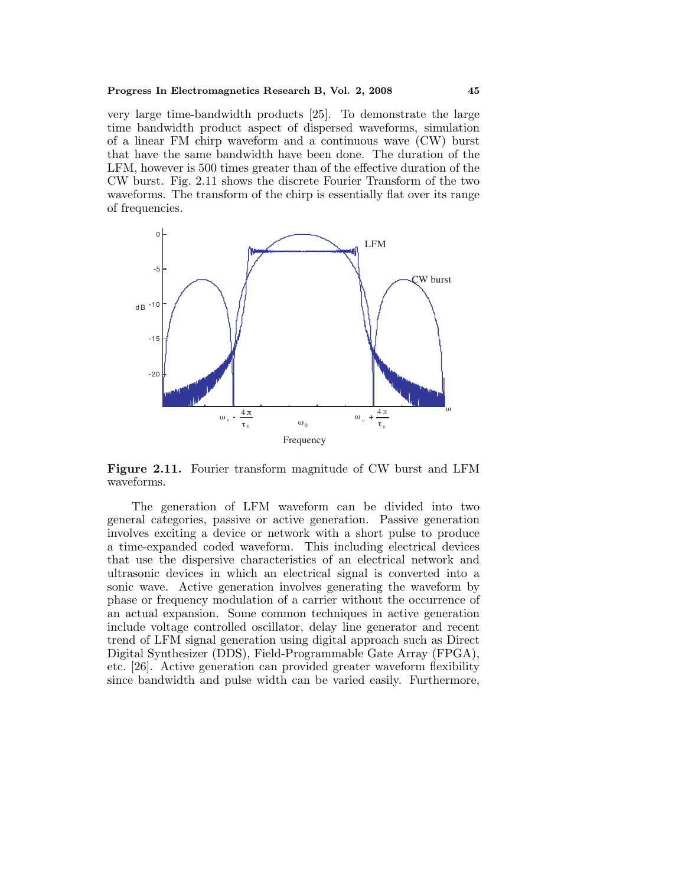very large time-bandwidth products [25]. To demonstrate the large time bandwidth product aspect of dispersed waveforms, simulation of a linear FM chirp waveform and a continuous wave (CW) burst that have the same bandwidth have been done. The duration of the LFM, however is 500 times greater than of the effective duration of the CW burst. Fig. 2.11 shows the discrete Fourier Transform of the two waveforms. The transform of the chirp is essentially flat over its range of frequencies.



**Figure 2.11.** Fourier transform magnitude of CW burst and LFM waveforms.

The generation of LFM waveform can be divided into two general categories, passive or active generation. Passive generation involves exciting a device or networkwith a short pulse to produce a time-expanded coded waveform. This including electrical devices that use the dispersive characteristics of an electrical networkand ultrasonic devices in which an electrical signal is converted into a sonic wave. Active generation involves generating the waveform by phase or frequency modulation of a carrier without the occurrence of an actual expansion. Some common techniques in active generation include voltage controlled oscillator, delay line generator and recent trend of LFM signal generation using digital approach such as Direct Digital Synthesizer (DDS), Field-Programmable Gate Array (FPGA), etc. [26]. Active generation can provided greater waveform flexibility since bandwidth and pulse width can be varied easily. Furthermore,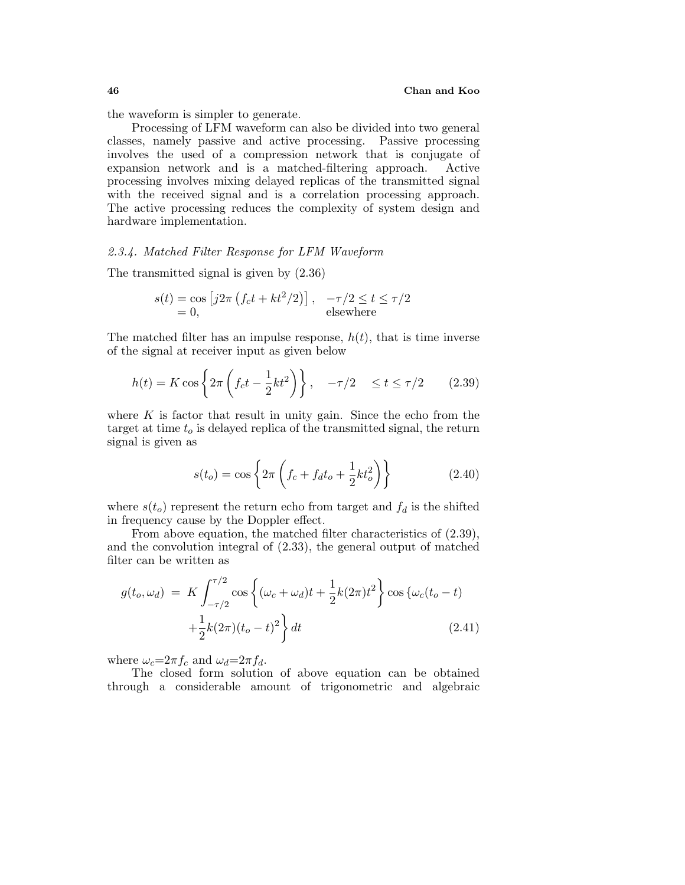the waveform is simpler to generate.

Processing of LFM waveform can also be divided into two general classes, namely passive and active processing. Passive processing involves the used of a compression network that is conjugate of expansion networkand is a matched-filtering approach. Active processing involves mixing delayed replicas of the transmitted signal with the received signal and is a correlation processing approach. The active processing reduces the complexity of system design and hardware implementation.

## 2.3.4. Matched Filter Response for LFM Waveform

The transmitted signal is given by (2.36)

$$
s(t) = \cos [j2\pi (f_c t + kt^2/2)], \quad -\tau/2 \le t \le \tau/2
$$
  
= 0, elsewhere

The matched filter has an impulse response,  $h(t)$ , that is time inverse of the signal at receiver input as given below

$$
h(t) = K \cos\left\{2\pi \left(f_c t - \frac{1}{2}kt^2\right)\right\}, \quad -\tau/2 \le t \le \tau/2 \quad (2.39)
$$

where  $K$  is factor that result in unity gain. Since the echo from the target at time  $t_o$  is delayed replica of the transmitted signal, the return signal is given as

$$
s(t_o) = \cos\left\{2\pi \left(f_c + f_d t_o + \frac{1}{2} k t_o^2\right)\right\}
$$
 (2.40)

where  $s(t_o)$  represent the return echo from target and  $f_d$  is the shifted in frequency cause by the Doppler effect.

From above equation, the matched filter characteristics of (2.39), and the convolution integral of (2.33), the general output of matched filter can be written as

$$
g(t_o, \omega_d) = K \int_{-\tau/2}^{\tau/2} \cos \left\{ (\omega_c + \omega_d)t + \frac{1}{2}k(2\pi)t^2 \right\} \cos \left\{ \omega_c(t_o - t) + \frac{1}{2}k(2\pi)(t_o - t)^2 \right\} dt
$$
\n(2.41)

where  $\omega_c = 2\pi f_c$  and  $\omega_d = 2\pi f_d$ .

The closed form solution of above equation can be obtained through a considerable amount of trigonometric and algebraic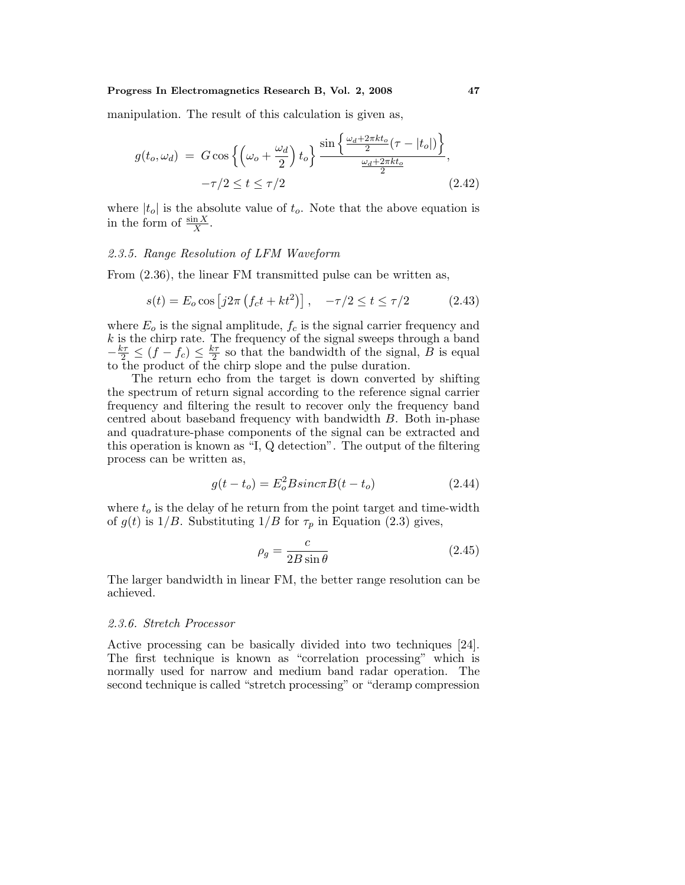manipulation. The result of this calculation is given as,

$$
g(t_o, \omega_d) = G \cos\left\{ \left( \omega_o + \frac{\omega_d}{2} \right) t_o \right\} \frac{\sin\left\{ \frac{\omega_d + 2\pi kt_o}{2} (\tau - |t_o|) \right\}}{\frac{\omega_d + 2\pi kt_o}{2}},
$$
  
- $\tau/2 \le t \le \tau/2$  (2.42)

where  $|t_o|$  is the absolute value of  $t_o$ . Note that the above equation is in the form of  $\frac{\sin X}{X}$ .

## 2.3.5. Range Resolution of LFM Waveform

From (2.36), the linear FM transmitted pulse can be written as,

$$
s(t) = E_o \cos [j2\pi (f_c t + kt^2)], \quad -\tau/2 \le t \le \tau/2
$$
 (2.43)

where  $E<sub>o</sub>$  is the signal amplitude,  $f<sub>c</sub>$  is the signal carrier frequency and  $k$  is the chirp rate. The frequency of the signal sweeps through a band  $-\frac{k\tau}{2} \leq (f - f_c) \leq \frac{k\tau}{2}$  so that the bandwidth of the signal, B is equal to the product of the chirp slope and the pulse duration.

The return echo from the target is down converted by shifting the spectrum of return signal according to the reference signal carrier frequency and filtering the result to recover only the frequency band centred about baseband frequency with bandwidth B. Both in-phase and quadrature-phase components of the signal can be extracted and this operation is known as "I, Q detection". The output of the filtering process can be written as,

$$
g(t - to) = Eo2 B sin c \pi B(t - to)
$$
 (2.44)

where  $t_o$  is the delay of he return from the point target and time-width of  $g(t)$  is  $1/B$ . Substituting  $1/B$  for  $\tau_p$  in Equation (2.3) gives,

$$
\rho_g = \frac{c}{2B\sin\theta} \tag{2.45}
$$

The larger bandwidth in linear FM, the better range resolution can be achieved.

#### 2.3.6. Stretch Processor

Active processing can be basically divided into two techniques [24]. The first technique is known as "correlation processing" which is normally used for narrow and medium band radar operation. The second technique is called "stretch processing" or "deramp compression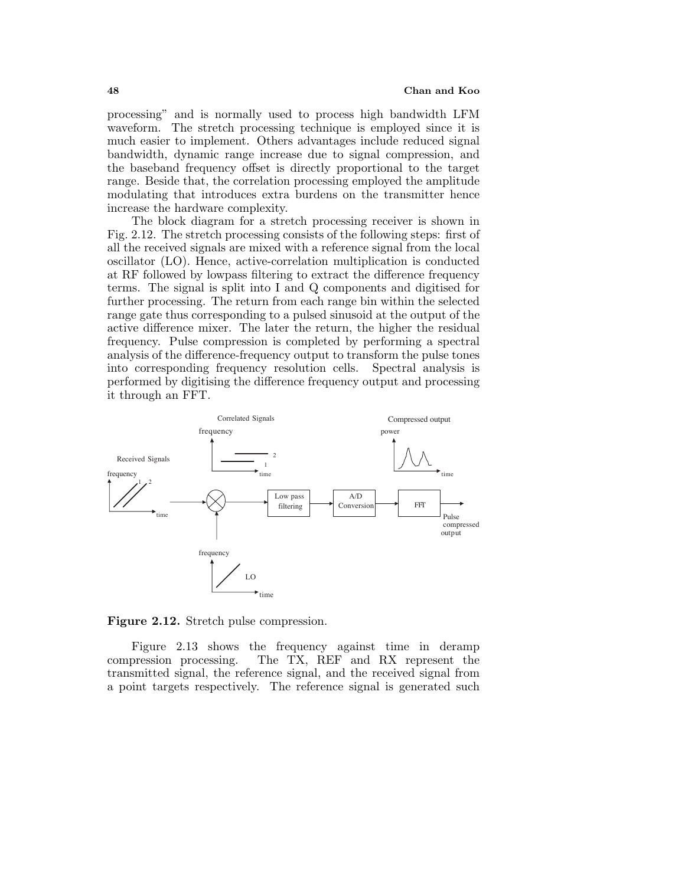processing" and is normally used to process high bandwidth LFM waveform. The stretch processing technique is employed since it is much easier to implement. Others advantages include reduced signal bandwidth, dynamic range increase due to signal compression, and the baseband frequency offset is directly proportional to the target range. Beside that, the correlation processing employed the amplitude modulating that introduces extra burdens on the transmitter hence increase the hardware complexity.

The block diagram for a stretch processing receiver is shown in Fig. 2.12. The stretch processing consists of the following steps: first of all the received signals are mixed with a reference signal from the local oscillator (LO). Hence, active-correlation multiplication is conducted at RF followed by lowpass filtering to extract the difference frequency terms. The signal is split into I and Q components and digitised for further processing. The return from each range bin within the selected range gate thus corresponding to a pulsed sinusoid at the output of the active difference mixer. The later the return, the higher the residual frequency. Pulse compression is completed by performing a spectral analysis of the difference-frequency output to transform the pulse tones into corresponding frequency resolution cells. Spectral analysis is performed by digitising the difference frequency output and processing it through an FFT.



**Figure 2.12.** Stretch pulse compression.

Figure 2.13 shows the frequency against time in deramp compression processing. The TX, REF and RX represent the transmitted signal, the reference signal, and the received signal from a point targets respectively. The reference signal is generated such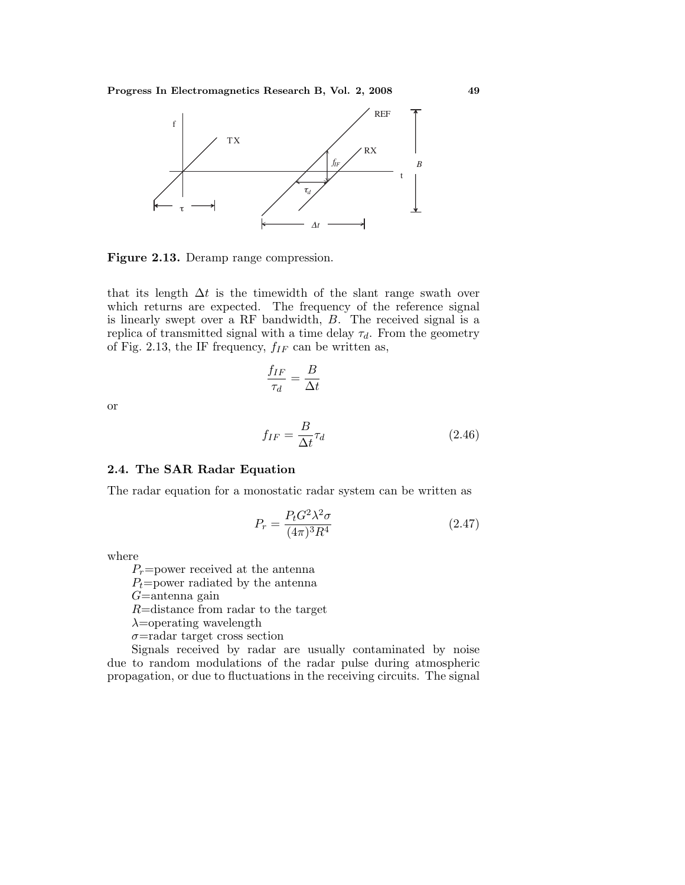

**Figure 2.13.** Deramp range compression.

that its length  $\Delta t$  is the timewidth of the slant range swath over which returns are expected. The frequency of the reference signal is linearly swept over a RF bandwidth, B. The received signal is a replica of transmitted signal with a time delay  $\tau_d$ . From the geometry of Fig. 2.13, the IF frequency,  $f_{IF}$  can be written as,

$$
\frac{f_{IF}}{\tau_d} = \frac{B}{\Delta t}
$$

or

$$
f_{IF} = \frac{B}{\Delta t} \tau_d \tag{2.46}
$$

## **2.4. The SAR Radar Equation**

The radar equation for a monostatic radar system can be written as

$$
P_r = \frac{P_t G^2 \lambda^2 \sigma}{(4\pi)^3 R^4} \tag{2.47}
$$

where

 $P_r$ =power received at the antenna

 $P_t$ =power radiated by the antenna

 $G=$ antenna gain

R=distance from radar to the target

 $\lambda$ =operating wavelength

 $\sigma$ =radar target cross section

Signals received by radar are usually contaminated by noise due to random modulations of the radar pulse during atmospheric propagation, or due to fluctuations in the receiving circuits. The signal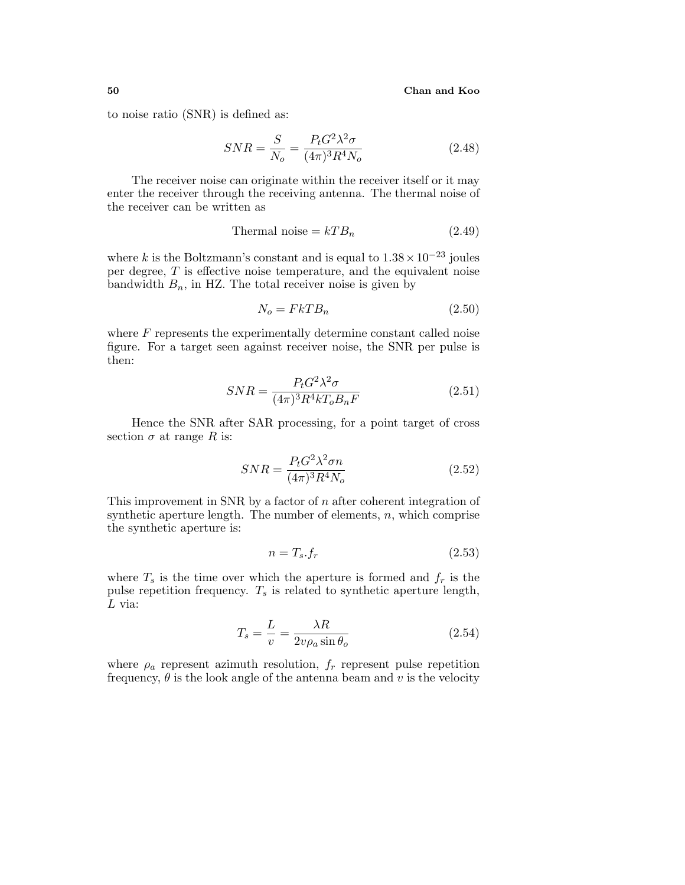to noise ratio (SNR) is defined as:

$$
SNR = \frac{S}{N_o} = \frac{P_t G^2 \lambda^2 \sigma}{(4\pi)^3 R^4 N_o}
$$
\n(2.48)

The receiver noise can originate within the receiver itself or it may enter the receiver through the receiving antenna. The thermal noise of the receiver can be written as

$$
Thermal noise = kT B_n \t\t(2.49)
$$

where k is the Boltzmann's constant and is equal to  $1.38 \times 10^{-23}$  joules per degree,  $T$  is effective noise temperature, and the equivalent noise bandwidth  $B_n$ , in HZ. The total receiver noise is given by

$$
N_o = FkTB_n \tag{2.50}
$$

where  $F$  represents the experimentally determine constant called noise figure. For a target seen against receiver noise, the SNR per pulse is then:

$$
SNR = \frac{P_t G^2 \lambda^2 \sigma}{(4\pi)^3 R^4 k T_o B_n F}
$$
\n(2.51)

Hence the SNR after SAR processing, for a point target of cross section  $\sigma$  at range R is:

$$
SNR = \frac{P_t G^2 \lambda^2 \sigma n}{(4\pi)^3 R^4 N_o} \tag{2.52}
$$

This improvement in SNR by a factor of n after coherent integration of synthetic aperture length. The number of elements,  $n$ , which comprise the synthetic aperture is:

$$
n = T_s f_r \tag{2.53}
$$

where  $T_s$  is the time over which the aperture is formed and  $f_r$  is the pulse repetition frequency.  $T_s$  is related to synthetic aperture length,  $L$  via:

$$
T_s = \frac{L}{v} = \frac{\lambda R}{2v\rho_a \sin \theta_o} \tag{2.54}
$$

where  $\rho_a$  represent azimuth resolution,  $f_r$  represent pulse repetition frequency,  $\theta$  is the look angle of the antenna beam and v is the velocity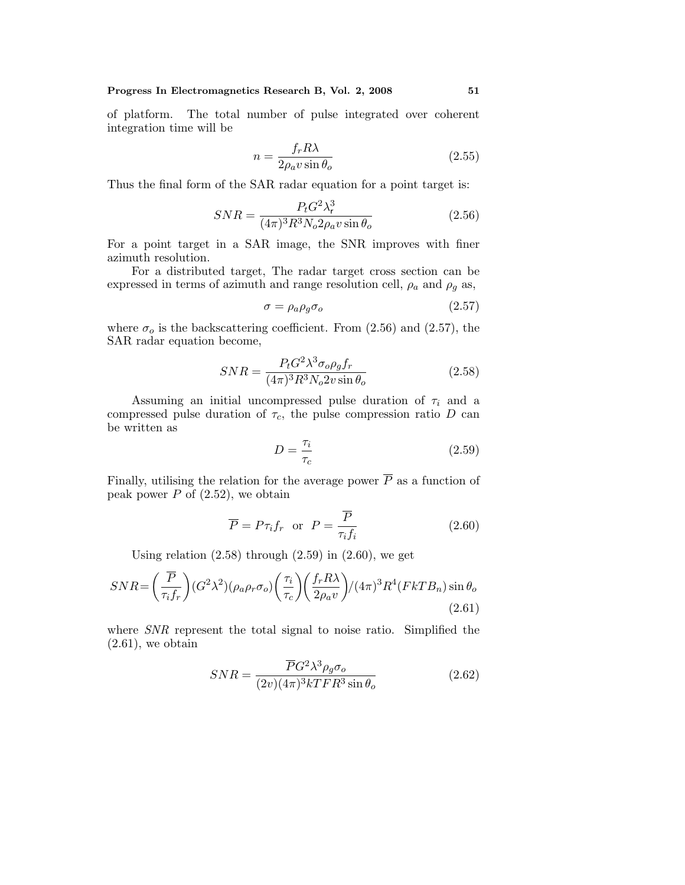of platform. The total number of pulse integrated over coherent integration time will be

$$
n = \frac{f_r R \lambda}{2\rho_a v \sin \theta_o} \tag{2.55}
$$

Thus the final form of the SAR radar equation for a point target is:

$$
SNR = \frac{P_t G^2 \lambda_r^3}{(4\pi)^3 R^3 N_o 2\rho_a v \sin \theta_o}
$$
\n(2.56)

For a point target in a SAR image, the SNR improves with finer azimuth resolution.

For a distributed target, The radar target cross section can be expressed in terms of azimuth and range resolution cell,  $\rho_a$  and  $\rho_g$  as,

$$
\sigma = \rho_a \rho_g \sigma_o \tag{2.57}
$$

where  $\sigma_o$  is the backscattering coefficient. From (2.56) and (2.57), the SAR radar equation become,

$$
SNR = \frac{P_t G^2 \lambda^3 \sigma_o \rho_g f_r}{(4\pi)^3 R^3 N_o 2v \sin \theta_o}
$$
\n(2.58)

Assuming an initial uncompressed pulse duration of  $\tau_i$  and a compressed pulse duration of  $\tau_c$ , the pulse compression ratio D can be written as

$$
D = \frac{\tau_i}{\tau_c} \tag{2.59}
$$

Finally, utilising the relation for the average power  $\overline{P}$  as a function of peak power  $P$  of  $(2.52)$ , we obtain

$$
\overline{P} = P\tau_i f_r \quad \text{or} \quad P = \frac{\overline{P}}{\tau_i f_i} \tag{2.60}
$$

Using relation  $(2.58)$  through  $(2.59)$  in  $(2.60)$ , we get

$$
SNR = \left(\frac{\overline{P}}{\tau_i f_r}\right) (G^2 \lambda^2) (\rho_a \rho_r \sigma_o) \left(\frac{\tau_i}{\tau_c}\right) \left(\frac{f_r R \lambda}{2\rho_a v}\right) / (4\pi)^3 R^4 (FkT B_n) \sin \theta_o
$$
\n(2.61)

where *SNR* represent the total signal to noise ratio. Simplified the  $(2.61)$ , we obtain

$$
SNR = \frac{\overline{P}G^2 \lambda^3 \rho_g \sigma_o}{(2v)(4\pi)^3 kTFR^3 \sin \theta_o}
$$
\n(2.62)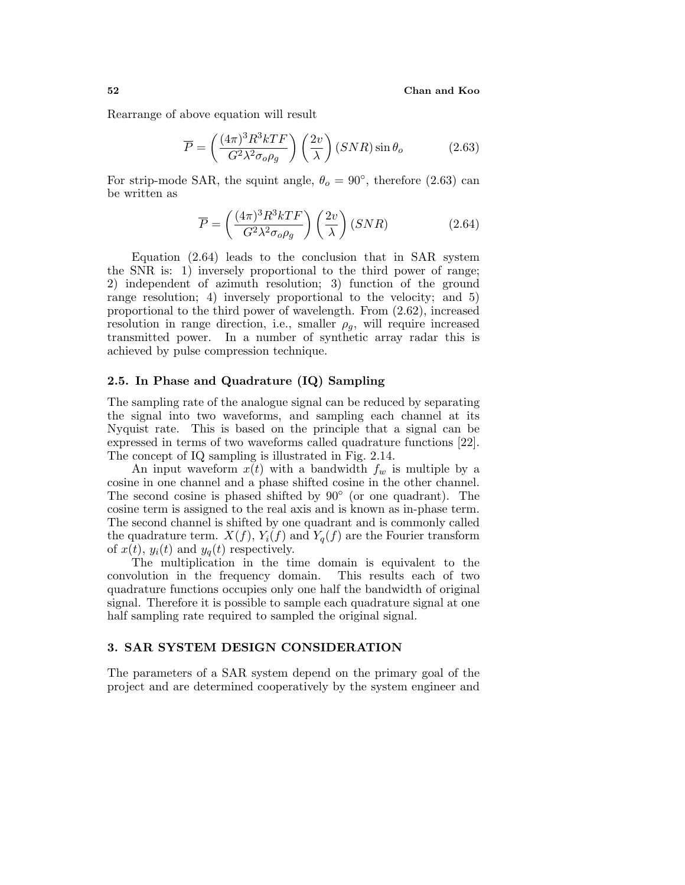Rearrange of above equation will result

$$
\overline{P} = \left(\frac{(4\pi)^3 R^3 k T F}{G^2 \lambda^2 \sigma_o \rho_g}\right) \left(\frac{2v}{\lambda}\right) (SNR) \sin \theta_o \tag{2.63}
$$

For strip-mode SAR, the squint angle,  $\theta_o = 90^{\circ}$ , therefore (2.63) can be written as

$$
\overline{P} = \left(\frac{(4\pi)^3 R^3 k T F}{G^2 \lambda^2 \sigma_o \rho_g}\right) \left(\frac{2v}{\lambda}\right) (SNR)
$$
\n(2.64)

Equation (2.64) leads to the conclusion that in SAR system the SNR is: 1) inversely proportional to the third power of range; 2) independent of azimuth resolution; 3) function of the ground range resolution; 4) inversely proportional to the velocity; and 5) proportional to the third power of wavelength. From (2.62), increased resolution in range direction, i.e., smaller  $\rho_q$ , will require increased transmitted power. In a number of synthetic array radar this is achieved by pulse compression technique.

# **2.5. In Phase and Quadrature (IQ) Sampling**

The sampling rate of the analogue signal can be reduced by separating the signal into two waveforms, and sampling each channel at its Nyquist rate. This is based on the principle that a signal can be expressed in terms of two waveforms called quadrature functions [22]. The concept of IQ sampling is illustrated in Fig. 2.14.

An input waveform  $x(t)$  with a bandwidth  $f_w$  is multiple by a cosine in one channel and a phase shifted cosine in the other channel. The second cosine is phased shifted by 90◦ (or one quadrant). The cosine term is assigned to the real axis and is known as in-phase term. The second channel is shifted by one quadrant and is commonly called the quadrature term.  $X(f)$ ,  $Y_i(f)$  and  $Y_q(f)$  are the Fourier transform of  $x(t)$ ,  $y_i(t)$  and  $y_q(t)$  respectively.

The multiplication in the time domain is equivalent to the convolution in the frequency domain. This results each of two quadrature functions occupies only one half the bandwidth of original signal. Therefore it is possible to sample each quadrature signal at one half sampling rate required to sampled the original signal.

# **3. SAR SYSTEM DESIGN CONSIDERATION**

The parameters of a SAR system depend on the primary goal of the project and are determined cooperatively by the system engineer and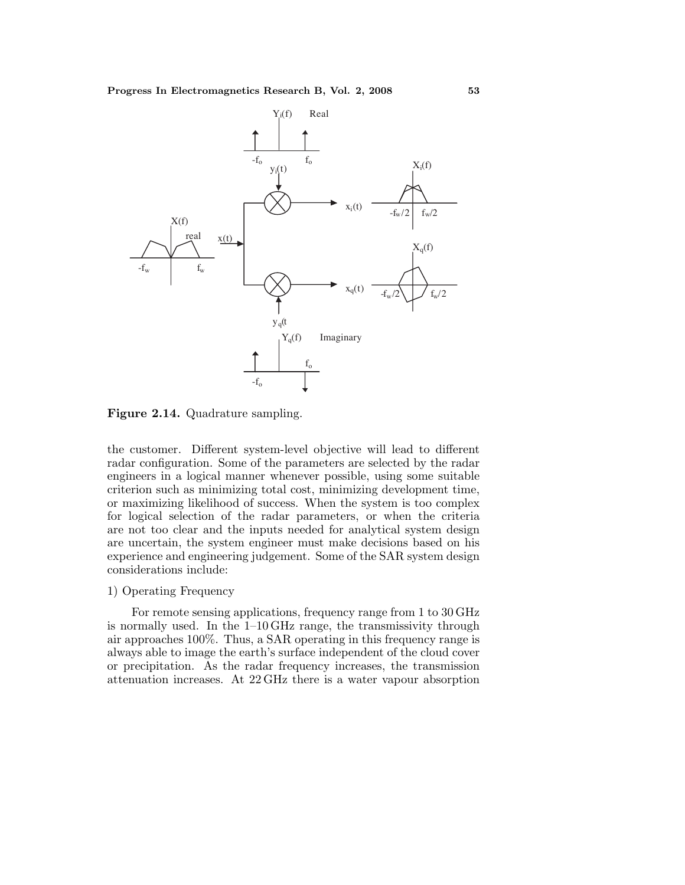

**Figure 2.14.** Quadrature sampling.

the customer. Different system-level objective will lead to different radar configuration. Some of the parameters are selected by the radar engineers in a logical manner whenever possible, using some suitable criterion such as minimizing total cost, minimizing development time, or maximizing likelihood of success. When the system is too complex for logical selection of the radar parameters, or when the criteria are not too clear and the inputs needed for analytical system design are uncertain, the system engineer must make decisions based on his experience and engineering judgement. Some of the SAR system design considerations include:

# 1) Operating Frequency

For remote sensing applications, frequency range from 1 to 30 GHz is normally used. In the 1–10 GHz range, the transmissivity through air approaches 100%. Thus, a SAR operating in this frequency range is always able to image the earth's surface independent of the cloud cover or precipitation. As the radar frequency increases, the transmission attenuation increases. At 22 GHz there is a water vapour absorption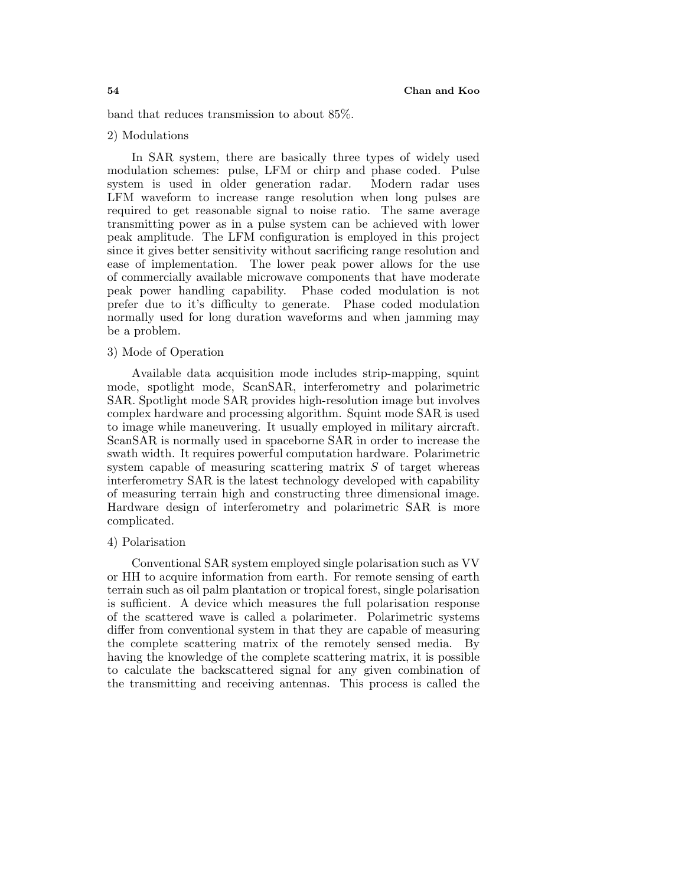band that reduces transmission to about 85%.

#### 2) Modulations

In SAR system, there are basically three types of widely used modulation schemes: pulse, LFM or chirp and phase coded. Pulse system is used in older generation radar. Modern radar uses LFM waveform to increase range resolution when long pulses are required to get reasonable signal to noise ratio. The same average transmitting power as in a pulse system can be achieved with lower peakamplitude. The LFM configuration is employed in this project since it gives better sensitivity without sacrificing range resolution and ease of implementation. The lower peak power allows for the use of commercially available microwave components that have moderate peak power handling capability. Phase coded modulation is not prefer due to it's difficulty to generate. Phase coded modulation normally used for long duration waveforms and when jamming may be a problem.

# 3) Mode of Operation

Available data acquisition mode includes strip-mapping, squint mode, spotlight mode, ScanSAR, interferometry and polarimetric SAR. Spotlight mode SAR provides high-resolution image but involves complex hardware and processing algorithm. Squint mode SAR is used to image while maneuvering. It usually employed in military aircraft. ScanSAR is normally used in spaceborne SAR in order to increase the swath width. It requires powerful computation hardware. Polarimetric system capable of measuring scattering matrix  $S$  of target whereas interferometry SAR is the latest technology developed with capability of measuring terrain high and constructing three dimensional image. Hardware design of interferometry and polarimetric SAR is more complicated.

#### 4) Polarisation

Conventional SAR system employed single polarisation such as VV or HH to acquire information from earth. For remote sensing of earth terrain such as oil palm plantation or tropical forest, single polarisation is sufficient. A device which measures the full polarisation response of the scattered wave is called a polarimeter. Polarimetric systems differ from conventional system in that they are capable of measuring the complete scattering matrix of the remotely sensed media. By having the knowledge of the complete scattering matrix, it is possible to calculate the backscattered signal for any given combination of the transmitting and receiving antennas. This process is called the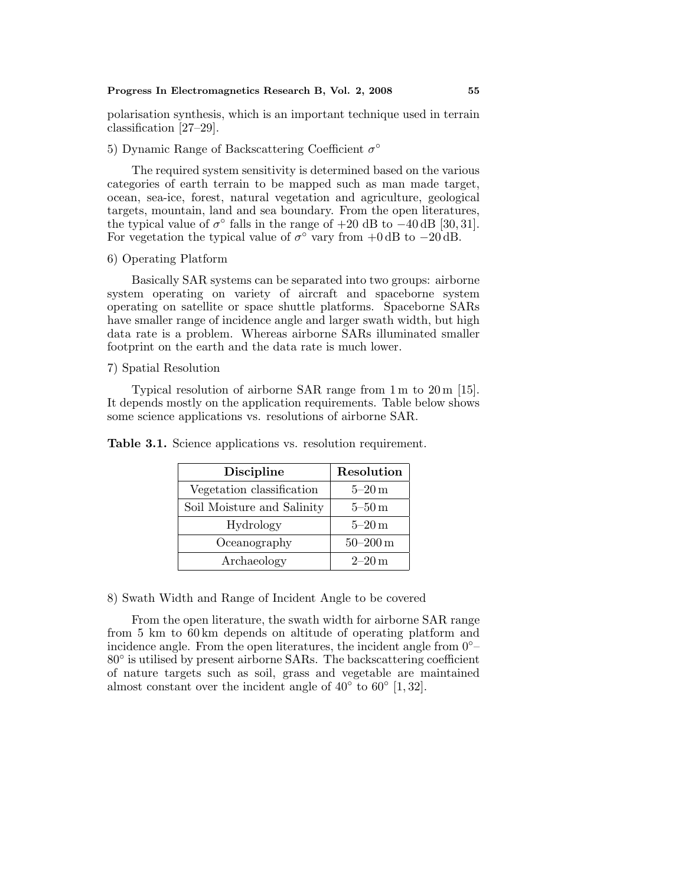polarisation synthesis, which is an important technique used in terrain classification [27–29].

## 5) Dynamic Range of Backscattering Coefficient  $\sigma^{\circ}$

The required system sensitivity is determined based on the various categories of earth terrain to be mapped such as man made target, ocean, sea-ice, forest, natural vegetation and agriculture, geological targets, mountain, land and sea boundary. From the open literatures, the typical value of  $\sigma^{\circ}$  falls in the range of  $+20$  dB to  $-40$  dB [30, 31]. For vegetation the typical value of  $\sigma^{\circ}$  vary from +0 dB to -20 dB.

6) Operating Platform

Basically SAR systems can be separated into two groups: airborne system operating on variety of aircraft and spaceborne system operating on satellite or space shuttle platforms. Spaceborne SARs have smaller range of incidence angle and larger swath width, but high data rate is a problem. Whereas airborne SARs illuminated smaller footprint on the earth and the data rate is much lower.

#### 7) Spatial Resolution

Typical resolution of airborne SAR range from 1 m to 20 m [15]. It depends mostly on the application requirements. Table below shows some science applications vs. resolutions of airborne SAR.

| <b>Discipline</b>          | Resolution   |  |  |
|----------------------------|--------------|--|--|
| Vegetation classification  | $5-20$ m     |  |  |
| Soil Moisture and Salinity | $5-50$ m     |  |  |
| Hydrology                  | $5-20$ m     |  |  |
| Oceanography               | $50 - 200$ m |  |  |
| Archaeology                | $2 - 20$ m   |  |  |

**Table 3.1.** Science applications vs. resolution requirement.

8) Swath Width and Range of Incident Angle to be covered

From the open literature, the swath width for airborne SAR range from 5 km to 60 km depends on altitude of operating platform and incidence angle. From the open literatures, the incident angle from  $0°-$ 80◦ is utilised by present airborne SARs. The backscattering coefficient of nature targets such as soil, grass and vegetable are maintained almost constant over the incident angle of  $40^{\circ}$  to  $60^{\circ}$  [1, 32].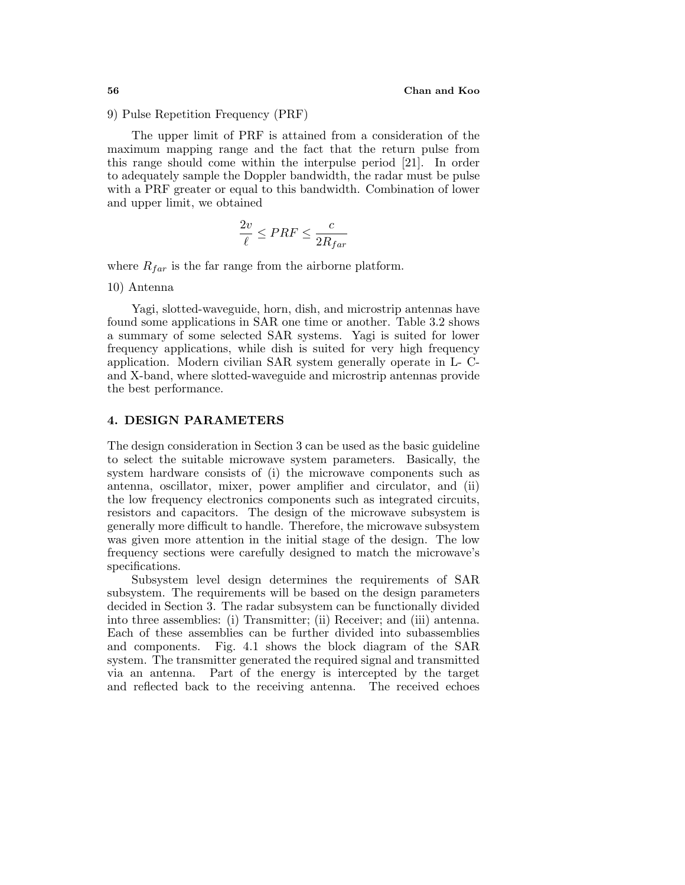9) Pulse Repetition Frequency (PRF)

The upper limit of PRF is attained from a consideration of the maximum mapping range and the fact that the return pulse from this range should come within the interpulse period [21]. In order to adequately sample the Doppler bandwidth, the radar must be pulse with a PRF greater or equal to this bandwidth. Combination of lower and upper limit, we obtained

$$
\frac{2v}{\ell} \leq PRF \leq \frac{c}{2R_{far}}
$$

where  $R_{far}$  is the far range from the airborne platform.

10) Antenna

Yagi, slotted-waveguide, horn, dish, and microstrip antennas have found some applications in SAR one time or another. Table 3.2 shows a summary of some selected SAR systems. Yagi is suited for lower frequency applications, while dish is suited for very high frequency application. Modern civilian SAR system generally operate in L- Cand X-band, where slotted-waveguide and microstrip antennas provide the best performance.

## **4. DESIGN PARAMETERS**

The design consideration in Section 3 can be used as the basic guideline to select the suitable microwave system parameters. Basically, the system hardware consists of (i) the microwave components such as antenna, oscillator, mixer, power amplifier and circulator, and (ii) the low frequency electronics components such as integrated circuits, resistors and capacitors. The design of the microwave subsystem is generally more difficult to handle. Therefore, the microwave subsystem was given more attention in the initial stage of the design. The low frequency sections were carefully designed to match the microwave's specifications.

Subsystem level design determines the requirements of SAR subsystem. The requirements will be based on the design parameters decided in Section 3. The radar subsystem can be functionally divided into three assemblies: (i) Transmitter; (ii) Receiver; and (iii) antenna. Each of these assemblies can be further divided into subassemblies and components. Fig. 4.1 shows the block diagram of the SAR system. The transmitter generated the required signal and transmitted via an antenna. Part of the energy is intercepted by the target and reflected back to the receiving antenna. The received echoes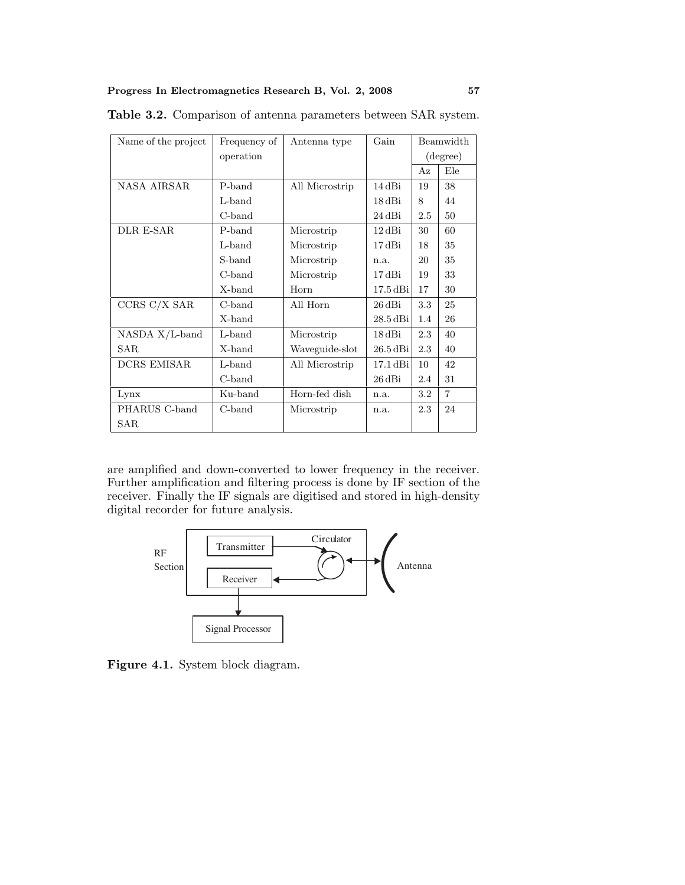| Name of the project | Frequency of | Antenna type   | Gain                 | Beamwidth |                |
|---------------------|--------------|----------------|----------------------|-----------|----------------|
|                     | operation    |                |                      | (degree)  |                |
|                     |              |                |                      | Az        | Ele            |
| NASA AIRSAR         | P-band       | All Microstrip | 14 dBi               | 19        | 38             |
|                     | L-band       |                | $18\,\mathrm{dBi}$   | 8         | 44             |
|                     | C-band       |                | 24 dBi               | 2.5       | 50             |
| DLR E-SAR           | P-band       | Microstrip     | $12\,\mathrm{dBi}$   | 30        | 60             |
|                     | L-band       | Microstrip     | $17\,\mathrm{dBi}$   | 18        | 35             |
|                     | S-band       | Microstrip     | n.a.                 | 20        | 35             |
|                     | C-band       | Microstrip     | $17\,\mathrm{dBi}$   | 19        | 33             |
|                     | X-band       | Horn           | $17.5\,\mathrm{dBi}$ | 17        | 30             |
| CCRS C/X SAR        | C-band       | All Horn       | 26 dBi               | 3.3       | 25             |
|                     | X-band       |                | $28.5$ dBi           | 1.4       | 26             |
| $NASDA X/L-band$    | L-band       | Microstrip     | 18 dBi               | 2.3       | 40             |
| <b>SAR</b>          | X-band       | Waveguide-slot | $26.5$ dBi           | 2.3       | 40             |
| <b>DCRS EMISAR</b>  | L-band       | All Microstrip | 17.1 dBi             | 10        | 42             |
|                     | C-band       |                | $26\,\mathrm{dBi}$   | $2.4\,$   | 31             |
| Lynx                | Ku-band      | Horn-fed dish  | n.a.                 | $3.2\,$   | $\overline{7}$ |
| PHARUS C-band       | C-band       | Microstrip     | n.a.                 | 2.3       | 24             |
| SAR.                |              |                |                      |           |                |

**Table 3.2.** Comparison of antenna parameters between SAR system.

are amplified and down-converted to lower frequency in the receiver. Further amplification and filtering process is done by IF section of the receiver. Finally the IF signals are digitised and stored in high-density digital recorder for future analysis.



Figure 4.1. System block diagram.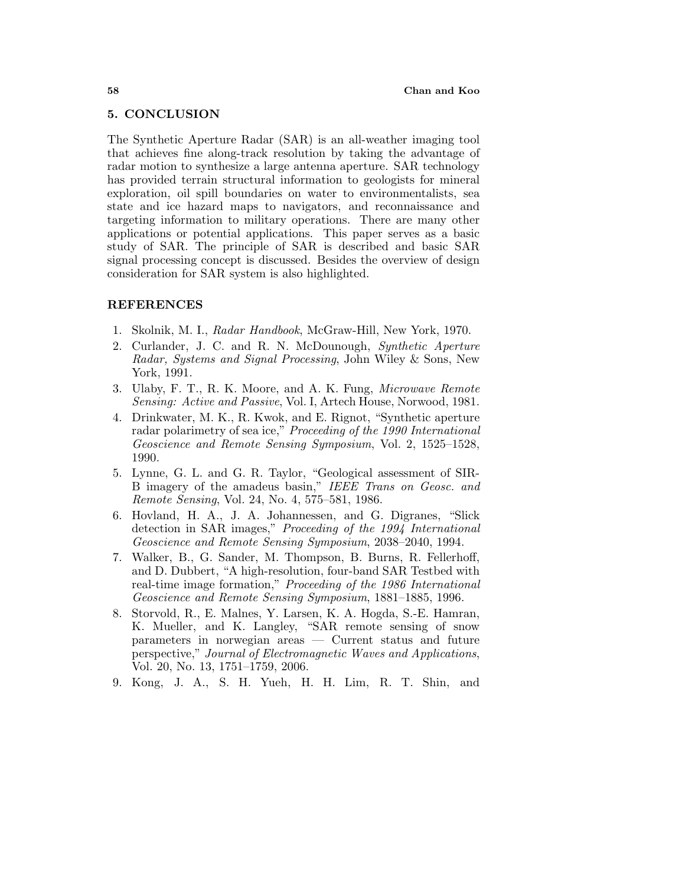## **5. CONCLUSION**

The Synthetic Aperture Radar (SAR) is an all-weather imaging tool that achieves fine along-track resolution by taking the advantage of radar motion to synthesize a large antenna aperture. SAR technology has provided terrain structural information to geologists for mineral exploration, oil spill boundaries on water to environmentalists, sea state and ice hazard maps to navigators, and reconnaissance and targeting information to military operations. There are many other applications or potential applications. This paper serves as a basic study of SAR. The principle of SAR is described and basic SAR signal processing concept is discussed. Besides the overview of design consideration for SAR system is also highlighted.

# **REFERENCES**

- 1. Skolnik, M. I., Radar Handbook, McGraw-Hill, New York, 1970.
- 2. Curlander, J. C. and R. N. McDounough, Synthetic Aperture Radar, Systems and Signal Processing, John Wiley & Sons, New York, 1991.
- 3. Ulaby, F. T., R. K. Moore, and A. K. Fung, Microwave Remote Sensing: Active and Passive, Vol. I, Artech House, Norwood, 1981.
- 4. Drinkwater, M. K., R. Kwok, and E. Rignot, "Synthetic aperture radar polarimetry of sea ice," Proceeding of the 1990 International Geoscience and Remote Sensing Symposium, Vol. 2, 1525–1528, 1990.
- 5. Lynne, G. L. and G. R. Taylor, "Geological assessment of SIR-B imagery of the amadeus basin," IEEE Trans on Geosc. and Remote Sensing, Vol. 24, No. 4, 575–581, 1986.
- 6. Hovland, H. A., J. A. Johannessen, and G. Digranes, "Slick detection in SAR images," Proceeding of the 1994 International Geoscience and Remote Sensing Symposium, 2038–2040, 1994.
- 7. Walker, B., G. Sander, M. Thompson, B. Burns, R. Fellerhoff, and D. Dubbert, "A high-resolution, four-band SAR Testbed with real-time image formation," Proceeding of the 1986 International Geoscience and Remote Sensing Symposium, 1881–1885, 1996.
- 8. Storvold, R., E. Malnes, Y. Larsen, K. A. Hogda, S.-E. Hamran, K. Mueller, and K. Langley, "SAR remote sensing of snow parameters in norwegian areas — Current status and future perspective," Journal of Electromagnetic Waves and Applications, Vol. 20, No. 13, 1751–1759, 2006.
- 9. Kong, J. A., S. H. Yueh, H. H. Lim, R. T. Shin, and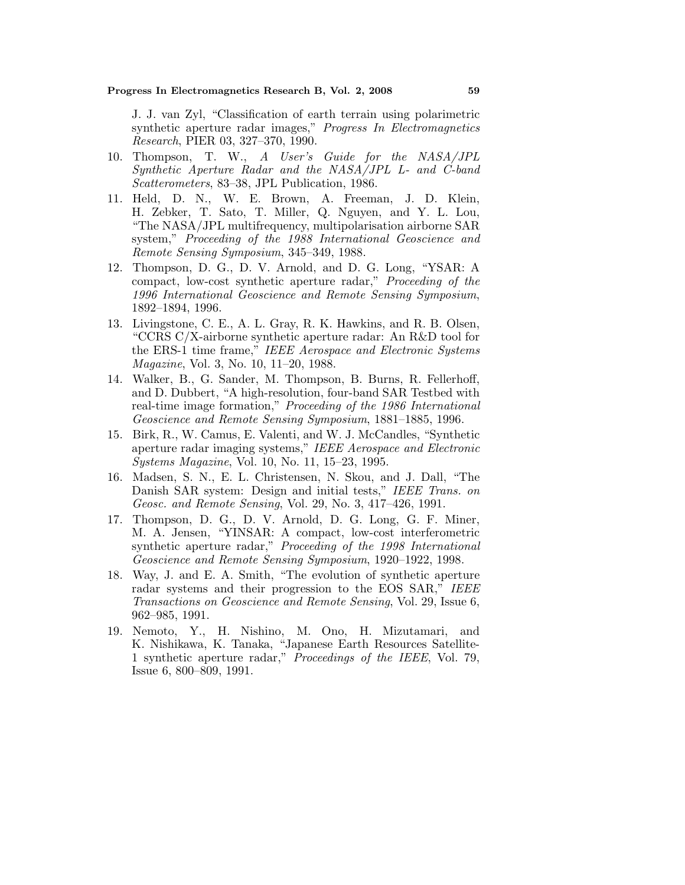J. J. van Zyl, "Classification of earth terrain using polarimetric synthetic aperture radar images," Progress In Electromagnetics Research, PIER 03, 327–370, 1990.

- 10. Thompson, T. W., A User's Guide for the NASA/JPL Synthetic Aperture Radar and the NASA/JPL L- and C-band Scatterometers, 83–38, JPL Publication, 1986.
- 11. Held, D. N., W. E. Brown, A. Freeman, J. D. Klein, H. Zebker, T. Sato, T. Miller, Q. Nguyen, and Y. L. Lou, "The NASA/JPL multifrequency, multipolarisation airborne SAR system," Proceeding of the 1988 International Geoscience and Remote Sensing Symposium, 345–349, 1988.
- 12. Thompson, D. G., D. V. Arnold, and D. G. Long, "YSAR: A compact, low-cost synthetic aperture radar," Proceeding of the 1996 International Geoscience and Remote Sensing Symposium, 1892–1894, 1996.
- 13. Livingstone, C. E., A. L. Gray, R. K. Hawkins, and R. B. Olsen, "CCRS C/X-airborne synthetic aperture radar: An R&D tool for the ERS-1 time frame," IEEE Aerospace and Electronic Systems Magazine, Vol. 3, No. 10, 11–20, 1988.
- 14. Walker, B., G. Sander, M. Thompson, B. Burns, R. Fellerhoff, and D. Dubbert, "A high-resolution, four-band SAR Testbed with real-time image formation," Proceeding of the 1986 International Geoscience and Remote Sensing Symposium, 1881–1885, 1996.
- 15. Birk, R., W. Camus, E. Valenti, and W. J. McCandles, "Synthetic aperture radar imaging systems," IEEE Aerospace and Electronic Systems Magazine, Vol. 10, No. 11, 15–23, 1995.
- 16. Madsen, S. N., E. L. Christensen, N. Skou, and J. Dall, "The Danish SAR system: Design and initial tests," IEEE Trans. on Geosc. and Remote Sensing, Vol. 29, No. 3, 417–426, 1991.
- 17. Thompson, D. G., D. V. Arnold, D. G. Long, G. F. Miner, M. A. Jensen, "YINSAR: A compact, low-cost interferometric synthetic aperture radar," Proceeding of the 1998 International Geoscience and Remote Sensing Symposium, 1920–1922, 1998.
- 18. Way, J. and E. A. Smith, "The evolution of synthetic aperture radar systems and their progression to the EOS SAR," IEEE Transactions on Geoscience and Remote Sensing, Vol. 29, Issue 6, 962–985, 1991.
- 19. Nemoto, Y., H. Nishino, M. Ono, H. Mizutamari, and K. Nishikawa, K. Tanaka, "Japanese Earth Resources Satellite-1 synthetic aperture radar," Proceedings of the IEEE, Vol. 79, Issue 6, 800–809, 1991.